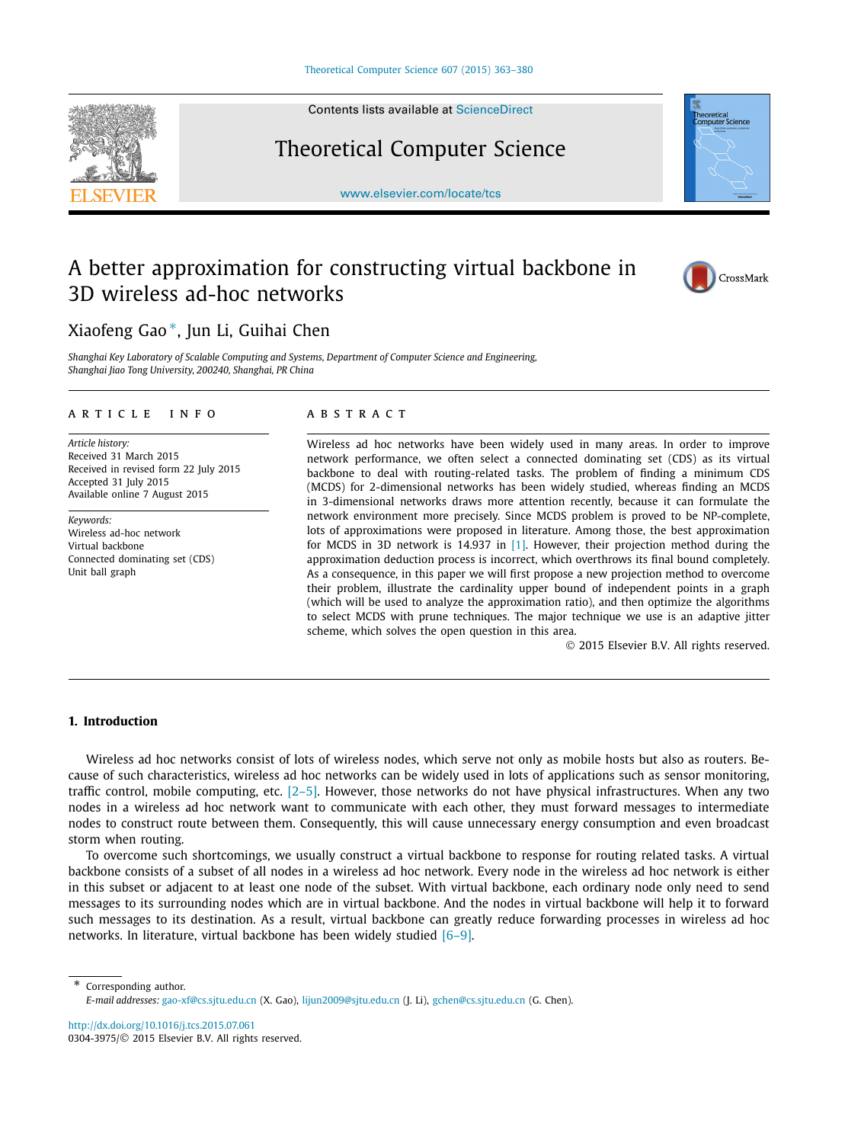Contents lists available at [ScienceDirect](http://www.ScienceDirect.com/)

# Theoretical Computer Science

[www.elsevier.com/locate/tcs](http://www.elsevier.com/locate/tcs)

# A better approximation for constructing virtual backbone in 3D wireless ad-hoc networks

## Xiaofeng Gao <sup>∗</sup>, Jun Li, Guihai Chen

*Shanghai Key Laboratory of Scalable Computing and Systems, Department of Computer Science and Engineering, Shanghai Jiao Tong University, 200240, Shanghai, PR China*

#### A R T I C L E I N F O A B S T R A C T

*Article history:* Received 31 March 2015 Received in revised form 22 July 2015 Accepted 31 July 2015 Available online 7 August 2015

*Keywords:* Wireless ad-hoc network Virtual backbone Connected dominating set (CDS) Unit ball graph

Wireless ad hoc networks have been widely used in many areas. In order to improve network performance, we often select a connected dominating set (CDS) as its virtual backbone to deal with routing-related tasks. The problem of finding a minimum CDS (MCDS) for 2-dimensional networks has been widely studied, whereas finding an MCDS in 3-dimensional networks draws more attention recently, because it can formulate the network environment more precisely. Since MCDS problem is proved to be NP-complete, lots of approximations were proposed in literature. Among those, the best approximation for MCDS in 3D network is 14.937 in [\[1\].](#page-16-0) However, their projection method during the approximation deduction process is incorrect, which overthrows its final bound completely. As a consequence, in this paper we will first propose a new projection method to overcome their problem, illustrate the cardinality upper bound of independent points in a graph (which will be used to analyze the approximation ratio), and then optimize the algorithms to select MCDS with prune techniques. The major technique we use is an adaptive jitter scheme, which solves the open question in this area.

© 2015 Elsevier B.V. All rights reserved.

#### **1. Introduction**

Wireless ad hoc networks consist of lots of wireless nodes, which serve not only as mobile hosts but also as routers. Because of such characteristics, wireless ad hoc networks can be widely used in lots of applications such as sensor monitoring, traffic control, mobile computing, etc. [\[2–5\].](#page-16-0) However, those networks do not have physical infrastructures. When any two nodes in a wireless ad hoc network want to communicate with each other, they must forward messages to intermediate nodes to construct route between them. Consequently, this will cause unnecessary energy consumption and even broadcast storm when routing.

To overcome such shortcomings, we usually construct a virtual backbone to response for routing related tasks. A virtual backbone consists of a subset of all nodes in a wireless ad hoc network. Every node in the wireless ad hoc network is either in this subset or adjacent to at least one node of the subset. With virtual backbone, each ordinary node only need to send messages to its surrounding nodes which are in virtual backbone. And the nodes in virtual backbone will help it to forward such messages to its destination. As a result, virtual backbone can greatly reduce forwarding processes in wireless ad hoc networks. In literature, virtual backbone has been widely studied [\[6–9\].](#page-16-0)

\* Corresponding author. *E-mail addresses:* [gao-xf@cs.sjtu.edu.cn](mailto:gao-xf@cs.sjtu.edu.cn) (X. Gao), [lijun2009@sjtu.edu.cn](mailto:lijun2009@sjtu.edu.cn) (J. Li), [gchen@cs.sjtu.edu.cn](mailto:gchen@cs.sjtu.edu.cn) (G. Chen).

<http://dx.doi.org/10.1016/j.tcs.2015.07.061> 0304-3975/© 2015 Elsevier B.V. All rights reserved.





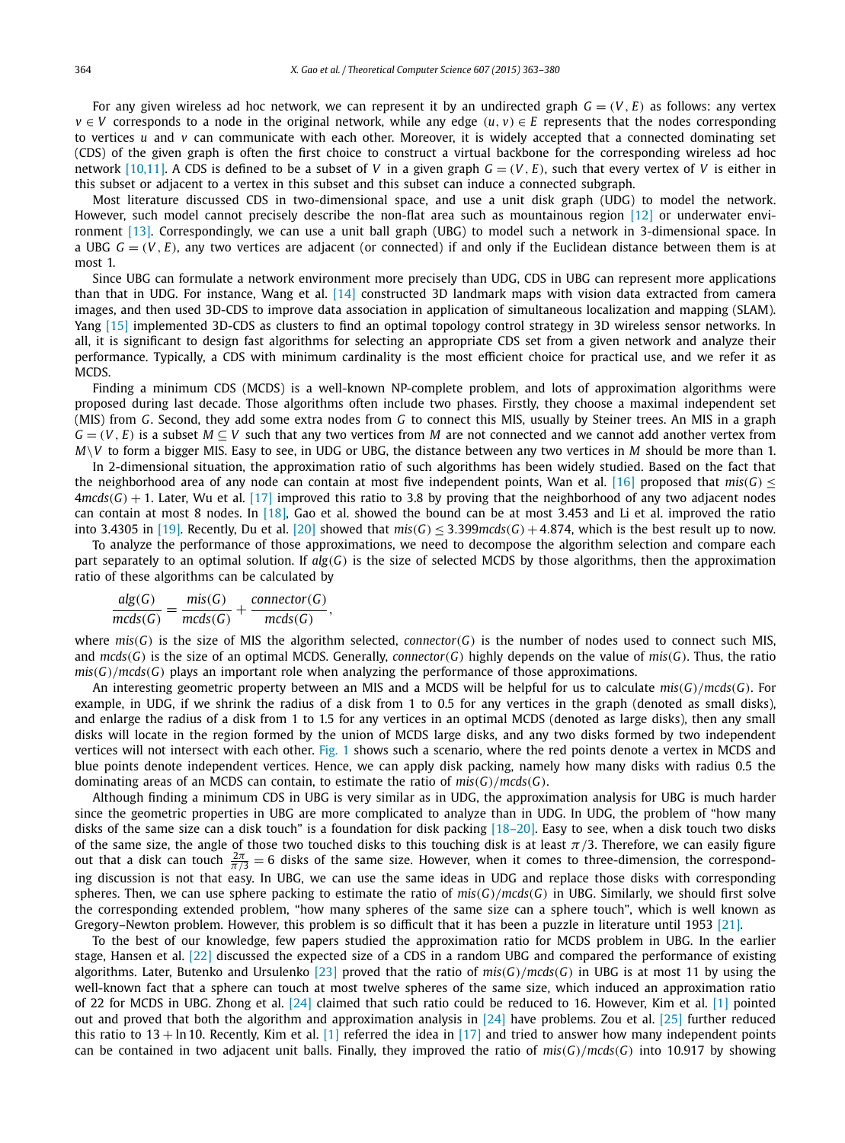For any given wireless ad hoc network, we can represent it by an undirected graph  $G = (V, E)$  as follows: any vertex  $v \in V$  corresponds to a node in the original network, while any edge  $(u, v) \in E$  represents that the nodes corresponding to vertices *u* and *v* can communicate with each other. Moreover, it is widely accepted that a connected dominating set (CDS) of the given graph is often the first choice to construct a virtual backbone for the corresponding wireless ad hoc network [\[10,11\].](#page-17-0) A CDS is defined to be a subset of *V* in a given graph  $G = (V, E)$ , such that every vertex of *V* is either in this subset or adjacent to a vertex in this subset and this subset can induce a connected subgraph.

Most literature discussed CDS in two-dimensional space, and use a unit disk graph (UDG) to model the network. However, such model cannot precisely describe the non-flat area such as mountainous region [\[12\]](#page-17-0) or underwater environment [\[13\].](#page-17-0) Correspondingly, we can use a unit ball graph (UBG) to model such a network in 3-dimensional space. In a UBG  $G = (V, E)$ , any two vertices are adjacent (or connected) if and only if the Euclidean distance between them is at most 1.

Since UBG can formulate a network environment more precisely than UDG, CDS in UBG can represent more applications than that in UDG. For instance, Wang et al. [\[14\]](#page-17-0) constructed 3D landmark maps with vision data extracted from camera images, and then used 3D-CDS to improve data association in application of simultaneous localization and mapping (SLAM). Yang [\[15\]](#page-17-0) implemented 3D-CDS as clusters to find an optimal topology control strategy in 3D wireless sensor networks. In all, it is significant to design fast algorithms for selecting an appropriate CDS set from a given network and analyze their performance. Typically, a CDS with minimum cardinality is the most efficient choice for practical use, and we refer it as MCDS.

Finding a minimum CDS (MCDS) is a well-known NP-complete problem, and lots of approximation algorithms were proposed during last decade. Those algorithms often include two phases. Firstly, they choose a maximal independent set (MIS) from *G*. Second, they add some extra nodes from *G* to connect this MIS, usually by Steiner trees. An MIS in a graph  $G = (V, E)$  is a subset  $M \subseteq V$  such that any two vertices from M are not connected and we cannot add another vertex from *M*\*V* to form a bigger MIS. Easy to see, in UDG or UBG, the distance between any two vertices in *M* should be more than 1.

In 2-dimensional situation, the approximation ratio of such algorithms has been widely studied. Based on the fact that the neighborhood area of any node can contain at most five independent points, Wan et al. [\[16\]](#page-17-0) proposed that  $mis(G)$  <  $4$ mcds $(G)$  + 1. Later, Wu et al. [\[17\]](#page-17-0) improved this ratio to 3.8 by proving that the neighborhood of any two adjacent nodes can contain at most 8 nodes. In [\[18\],](#page-17-0) Gao et al. showed the bound can be at most 3.453 and Li et al. improved the ratio into 3.4305 in [\[19\].](#page-17-0) Recently, Du et al. [\[20\]](#page-17-0) showed that  $mis(G) \leq 3.399mcds(G) + 4.874$ , which is the best result up to now.

To analyze the performance of those approximations, we need to decompose the algorithm selection and compare each part separately to an optimal solution. If *alg(G)* is the size of selected MCDS by those algorithms, then the approximation ratio of these algorithms can be calculated by

$$
\frac{alg(G)}{mcds(G)} = \frac{mis(G)}{mcds(G)} + \frac{connector(G)}{mcds(G)},
$$

where  $mis(G)$  is the size of MIS the algorithm selected, *connector*( $G$ ) is the number of nodes used to connect such MIS, and *mcds(G)* is the size of an optimal MCDS. Generally, *connector(G)* highly depends on the value of *mis(G)*. Thus, the ratio  $mis(G)/mcds(G)$  plays an important role when analyzing the performance of those approximations.

An interesting geometric property between an MIS and a MCDS will be helpful for us to calculate *mis(G)/mcds(G)*. For example, in UDG, if we shrink the radius of a disk from 1 to 0.5 for any vertices in the graph (denoted as small disks), and enlarge the radius of a disk from 1 to 1.5 for any vertices in an optimal MCDS (denoted as large disks), then any small disks will locate in the region formed by the union of MCDS large disks, and any two disks formed by two independent vertices will not intersect with each other. [Fig. 1](#page-2-0) shows such a scenario, where the red points denote a vertex in MCDS and blue points denote independent vertices. Hence, we can apply disk packing, namely how many disks with radius 0.5 the dominating areas of an MCDS can contain, to estimate the ratio of *mis(G)/mcds(G)*.

Although finding a minimum CDS in UBG is very similar as in UDG, the approximation analysis for UBG is much harder since the geometric properties in UBG are more complicated to analyze than in UDG. In UDG, the problem of "how many disks of the same size can a disk touch" is a foundation for disk packing [\[18–20\].](#page-17-0) Easy to see, when a disk touch two disks of the same size, the angle of those two touched disks to this touching disk is at least  $\pi/3$ . Therefore, we can easily figure out that a disk can touch  $\frac{2\pi}{\pi/3} = 6$  disks of the same size. However, when it comes to three-dimension, the corresponding discussion is not that easy. In UBG, we can use the same ideas in UDG and replace those disks with corresponding spheres. Then, we can use sphere packing to estimate the ratio of  $mis(G)/mcds(G)$  in UBG. Similarly, we should first solve the corresponding extended problem, "how many spheres of the same size can a sphere touch", which is well known as Gregory–Newton problem. However, this problem is so difficult that it has been a puzzle in literature until 1953 [\[21\].](#page-17-0)

To the best of our knowledge, few papers studied the approximation ratio for MCDS problem in UBG. In the earlier stage, Hansen et al. [\[22\]](#page-17-0) discussed the expected size of a CDS in a random UBG and compared the performance of existing algorithms. Later, Butenko and Ursulenko [\[23\]](#page-17-0) proved that the ratio of *mis(G)/mcds(G)* in UBG is at most 11 by using the well-known fact that a sphere can touch at most twelve spheres of the same size, which induced an approximation ratio of 22 for MCDS in UBG. Zhong et al. [\[24\]](#page-17-0) claimed that such ratio could be reduced to 16. However, Kim et al. [\[1\]](#page-16-0) pointed out and proved that both the algorithm and approximation analysis in [\[24\]](#page-17-0) have problems. Zou et al. [\[25\]](#page-17-0) further reduced this ratio to  $13 + \ln 10$ . Recently, Kim et al. [\[1\]](#page-16-0) referred the idea in [\[17\]](#page-17-0) and tried to answer how many independent points can be contained in two adjacent unit balls. Finally, they improved the ratio of *mis(G)/mcds(G)* into 10.917 by showing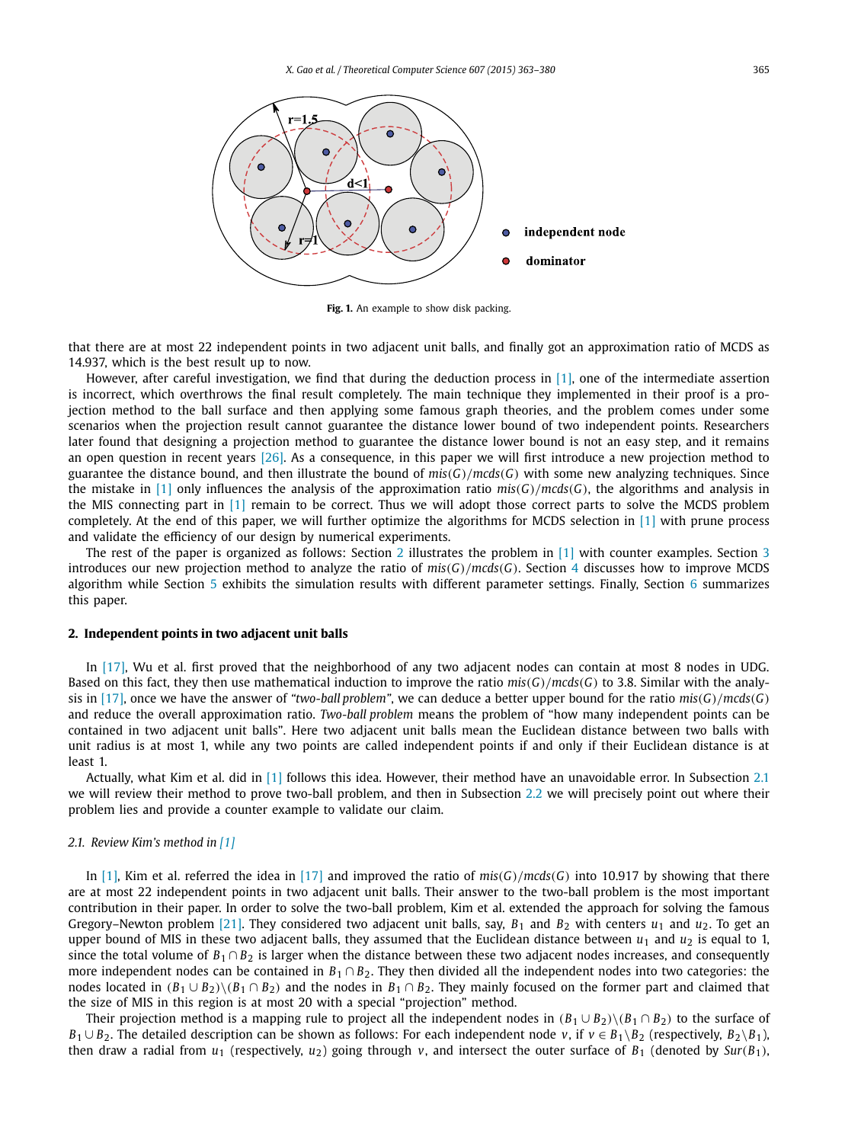<span id="page-2-0"></span>

**Fig. 1.** An example to show disk packing.

that there are at most 22 independent points in two adjacent unit balls, and finally got an approximation ratio of MCDS as 14.937, which is the best result up to now.

However, after careful investigation, we find that during the deduction process in [\[1\],](#page-16-0) one of the intermediate assertion is incorrect, which overthrows the final result completely. The main technique they implemented in their proof is a projection method to the ball surface and then applying some famous graph theories, and the problem comes under some scenarios when the projection result cannot guarantee the distance lower bound of two independent points. Researchers later found that designing a projection method to guarantee the distance lower bound is not an easy step, and it remains an open question in recent years [\[26\].](#page-17-0) As a consequence, in this paper we will first introduce a new projection method to guarantee the distance bound, and then illustrate the bound of  $mis(G)/mcds(G)$  with some new analyzing techniques. Since the mistake in [\[1\]](#page-16-0) only influences the analysis of the approximation ratio  $mis(G)/mcds(G)$ , the algorithms and analysis in the MIS connecting part in [\[1\]](#page-16-0) remain to be correct. Thus we will adopt those correct parts to solve the MCDS problem completely. At the end of this paper, we will further optimize the algorithms for MCDS selection in [\[1\]](#page-16-0) with prune process and validate the efficiency of our design by numerical experiments.

The rest of the paper is organized as follows: Section 2 illustrates the problem in  $[1]$  with counter examples. Section [3](#page-4-0) introduces our new projection method to analyze the ratio of  $mis(G)/mcds(G)$ . Section [4](#page-14-0) discusses how to improve MCDS algorithm while Section [5](#page-15-0) exhibits the simulation results with different parameter settings. Finally, Section [6](#page-16-0) summarizes this paper.

#### **2. Independent points in two adjacent unit balls**

In [\[17\],](#page-17-0) Wu et al. first proved that the neighborhood of any two adjacent nodes can contain at most 8 nodes in UDG. Based on this fact, they then use mathematical induction to improve the ratio  $mis(G)/mcds(G)$  to 3.8. Similar with the analy-sis in [\[17\],](#page-17-0) once we have the answer of "two-ball problem", we can deduce a better upper bound for the ratio  $mis(G)/mcds(G)$ and reduce the overall approximation ratio. *Two-ball problem* means the problem of "how many independent points can be contained in two adjacent unit balls". Here two adjacent unit balls mean the Euclidean distance between two balls with unit radius is at most 1, while any two points are called independent points if and only if their Euclidean distance is at least 1.

Actually, what Kim et al. did in [\[1\]](#page-16-0) follows this idea. However, their method have an unavoidable error. In Subsection 2.1 we will review their method to prove two-ball problem, and then in Subsection [2.2](#page-3-0) we will precisely point out where their problem lies and provide a counter example to validate our claim.

#### *2.1. Review Kim's method in [\[1\]](#page-16-0)*

In [\[1\],](#page-16-0) Kim et al. referred the idea in [\[17\]](#page-17-0) and improved the ratio of  $mis(G)/mcds(G)$  into 10.917 by showing that there are at most 22 independent points in two adjacent unit balls. Their answer to the two-ball problem is the most important contribution in their paper. In order to solve the two-ball problem, Kim et al. extended the approach for solving the famous Gregory–Newton problem [\[21\].](#page-17-0) They considered two adjacent unit balls, say,  $B_1$  and  $B_2$  with centers  $u_1$  and  $u_2$ . To get an upper bound of MIS in these two adjacent balls, they assumed that the Euclidean distance between  $u_1$  and  $u_2$  is equal to 1, since the total volume of  $B_1 \cap B_2$  is larger when the distance between these two adjacent nodes increases, and consequently more independent nodes can be contained in *B*<sub>1</sub> ∩ *B*<sub>2</sub>. They then divided all the independent nodes into two categories: the nodes located in  $(B_1 \cup B_2) \setminus (B_1 \cap B_2)$  and the nodes in  $B_1 \cap B_2$ . They mainly focused on the former part and claimed that the size of MIS in this region is at most 20 with a special "projection" method.

Their projection method is a mapping rule to project all the independent nodes in  $(B_1 \cup B_2) \setminus (B_1 \cap B_2)$  to the surface of *B*<sub>1</sub> ∪ *B*<sub>2</sub>. The detailed description can be shown as follows: For each independent node *v*, if *v* ∈ *B*<sub>1</sub>\*B*<sub>2</sub> (respectively, *B*<sub>2</sub>\*B*<sub>1</sub>), then draw a radial from  $u_1$  (respectively,  $u_2$ ) going through *v*, and intersect the outer surface of  $B_1$  (denoted by  $Sur(B_1)$ ,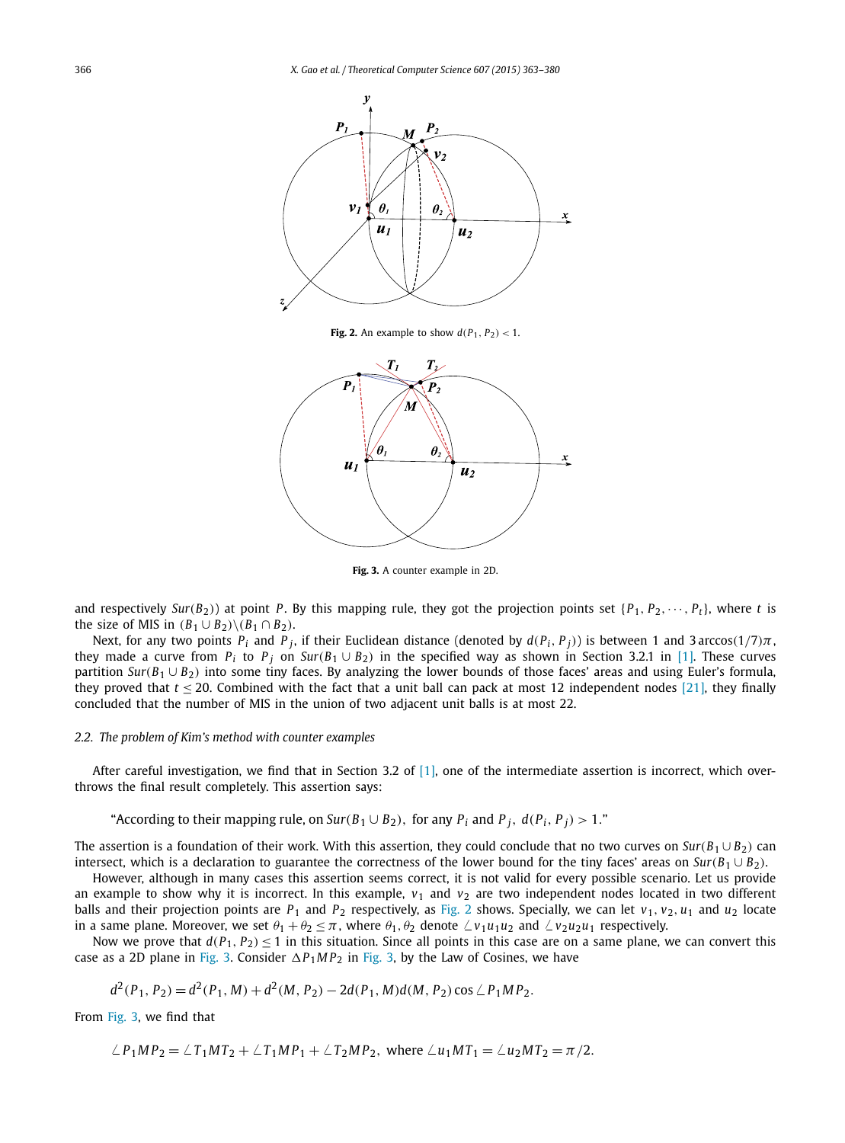<span id="page-3-0"></span>

**Fig. 2.** An example to show  $d(P_1, P_2) < 1$ .



**Fig. 3.** A counter example in 2D.

and respectively *Sur*( $B_2$ )) at point *P*. By this mapping rule, they got the projection points set  $\{P_1, P_2, \dots, P_t\}$ , where *t* is the size of MIS in  $(B_1 \cup B_2) \setminus (B_1 \cap B_2)$ .

Next, for any two points  $P_i$  and  $P_j$ , if their Euclidean distance (denoted by  $d(P_i, P_j)$ ) is between 1 and 3 arccos(1/7) $\pi$ , they made a curve from  $P_i$  to  $P_j$  on  $Sur(B_1 \cup B_2)$  in the specified way as shown in Section 3.2.1 in [\[1\].](#page-16-0) These curves partition *Sur*( $B_1 \cup B_2$ ) into some tiny faces. By analyzing the lower bounds of those faces' areas and using Euler's formula, they proved that  $t \le 20$ . Combined with the fact that a unit ball can pack at most 12 independent nodes [\[21\],](#page-17-0) they finally concluded that the number of MIS in the union of two adjacent unit balls is at most 22.

### *2.2. The problem of Kim's method with counter examples*

After careful investigation, we find that in Section 3.2 of  $[1]$ , one of the intermediate assertion is incorrect, which overthrows the final result completely. This assertion says:

"According to their mapping rule, on  $Sur(B_1 \cup B_2)$ , for any  $P_i$  and  $P_j$ ,  $d(P_i, P_j) > 1$ ."

The assertion is a foundation of their work. With this assertion, they could conclude that no two curves on  $Sur(B_1 \cup B_2)$  can intersect, which is a declaration to guarantee the correctness of the lower bound for the tiny faces' areas on  $Sur(B_1 \cup B_2)$ .

However, although in many cases this assertion seems correct, it is not valid for every possible scenario. Let us provide an example to show why it is incorrect. In this example,  $v_1$  and  $v_2$  are two independent nodes located in two different balls and their projection points are  $P_1$  and  $P_2$  respectively, as Fig. 2 shows. Specially, we can let  $v_1$ ,  $v_2$ ,  $u_1$  and  $u_2$  locate in a same plane. Moreover, we set  $\theta_1 + \theta_2 \leq \pi$ , where  $\theta_1, \theta_2$  denote  $\angle v_1u_1u_2$  and  $\angle v_2u_2u_1$  respectively.

Now we prove that  $d(P_1, P_2) \le 1$  in this situation. Since all points in this case are on a same plane, we can convert this case as a 2D plane in Fig. 3. Consider  $\Delta P_1 M P_2$  in Fig. 3, by the Law of Cosines, we have

$$
d^{2}(P_{1}, P_{2}) = d^{2}(P_{1}, M) + d^{2}(M, P_{2}) - 2d(P_{1}, M)d(M, P_{2}) \cos \angle P_{1}MP_{2}.
$$

From Fig. 3, we find that

$$
\angle P_1MP_2 = \angle T_1MT_2 + \angle T_1MP_1 + \angle T_2MP_2
$$
, where  $\angle u_1MT_1 = \angle u_2MT_2 = \pi/2$ .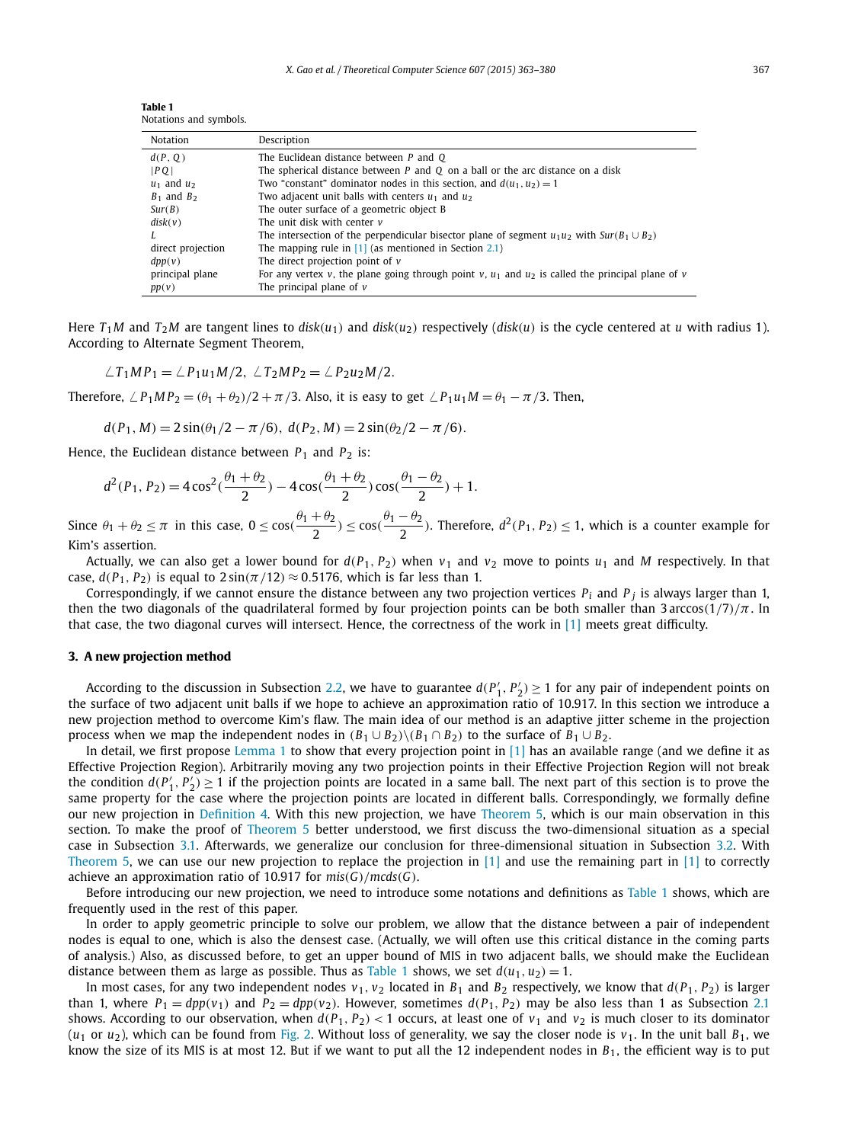<span id="page-4-0"></span>**Table 1** Notations and symbols.

| Notation          | Description                                                                                           |
|-------------------|-------------------------------------------------------------------------------------------------------|
| d(P, Q)           | The Euclidean distance between P and Q                                                                |
| PO                | The spherical distance between $P$ and $Q$ on a ball or the arc distance on a disk                    |
| $u_1$ and $u_2$   | Two "constant" dominator nodes in this section, and $d(u_1, u_2) = 1$                                 |
| $B_1$ and $B_2$   | Two adjacent unit balls with centers $u_1$ and $u_2$                                                  |
| Sur(B)            | The outer surface of a geometric object B                                                             |
| disk(v)           | The unit disk with center v                                                                           |
|                   | The intersection of the perpendicular bisector plane of segment $u_1u_2$ with $Sur(B_1 \cup B_2)$     |
| direct projection | The mapping rule in $[1]$ (as mentioned in Section 2.1)                                               |
| dpp(v)            | The direct projection point of $\nu$                                                                  |
| principal plane   | For any vertex v, the plane going through point v, $u_1$ and $u_2$ is called the principal plane of v |
| pp(v)             | The principal plane of $\nu$                                                                          |

Here  $T_1M$  and  $T_2M$  are tangent lines to disk( $u_1$ ) and disk( $u_2$ ) respectively (disk(u) is the cycle centered at u with radius 1). According to Alternate Segment Theorem,

 $\angle T_1MP_1 = \angle P_1u_1M/2, \angle T_2MP_2 = \angle P_2u_2M/2.$ 

Therefore,  $\angle P_1MP_2 = (\theta_1 + \theta_2)/2 + \pi/3$ . Also, it is easy to get  $\angle P_1u_1M = \theta_1 - \pi/3$ . Then,

$$
d(P_1, M) = 2\sin(\theta_1/2 - \pi/6), d(P_2, M) = 2\sin(\theta_2/2 - \pi/6).
$$

Hence, the Euclidean distance between  $P_1$  and  $P_2$  is:

$$
d^{2}(P_{1}, P_{2}) = 4\cos^{2}(\frac{\theta_{1} + \theta_{2}}{2}) - 4\cos(\frac{\theta_{1} + \theta_{2}}{2})\cos(\frac{\theta_{1} - \theta_{2}}{2}) + 1.
$$

Since  $\theta_1 + \theta_2 \leq \pi$  in this case,  $0 \leq \cos(\frac{\theta_1 + \theta_2}{2}) \leq \cos(\frac{\theta_1 - \theta_2}{2})$ . Therefore,  $d^2(P_1, P_2) \leq 1$ , which is a counter example for Kim's assertion.

Actually, we can also get a lower bound for  $d(P_1, P_2)$  when  $v_1$  and  $v_2$  move to points  $u_1$  and M respectively. In that case,  $d(P_1, P_2)$  is equal to  $2\sin(\pi/12) \approx 0.5176$ , which is far less than 1.

Correspondingly, if we cannot ensure the distance between any two projection vertices  $P_i$  and  $P_j$  is always larger than 1, then the two diagonals of the quadrilateral formed by four projection points can be both smaller than 3 arccos $(1/7)/\pi$ . In that case, the two diagonal curves will intersect. Hence, the correctness of the work in [\[1\]](#page-16-0) meets great difficulty.

#### **3. A new projection method**

According to the discussion in Subsection [2.2,](#page-3-0) we have to guarantee  $d(P'_1, P'_2) \ge 1$  for any pair of independent points on the surface of two adjacent unit balls if we hope to achieve an approximation ratio of 10.917. In this section we introduce a new projection method to overcome Kim's flaw. The main idea of our method is an adaptive jitter scheme in the projection process when we map the independent nodes in  $(B_1 \cup B_2) \setminus (B_1 \cap B_2)$  to the surface of  $B_1 \cup B_2$ .

In detail, we first propose [Lemma 1](#page-5-0) to show that every projection point in  $[1]$  has an available range (and we define it as Effective Projection Region). Arbitrarily moving any two projection points in their Effective Projection Region will not break the condition  $d(P'_1, P'_2) \ge 1$  if the projection points are located in a same ball. The next part of this section is to prove the same property for the case where the projection points are located in different balls. Correspondingly, we formally define our new projection in [Definition 4.](#page-6-0) With this new projection, we have [Theorem 5,](#page-7-0) which is our main observation in this section. To make the proof of [Theorem 5](#page-7-0) better understood, we first discuss the two-dimensional situation as a special case in Subsection [3.1.](#page-7-0) Afterwards, we generalize our conclusion for three-dimensional situation in Subsection [3.2.](#page-10-0) With [Theorem 5,](#page-7-0) we can use our new projection to replace the projection in  $\lfloor 1 \rfloor$  and use the remaining part in  $\lfloor 1 \rfloor$  to correctly achieve an approximation ratio of 10.917 for *mis(G)/mcds(G)*.

Before introducing our new projection, we need to introduce some notations and definitions as Table 1 shows, which are frequently used in the rest of this paper.

In order to apply geometric principle to solve our problem, we allow that the distance between a pair of independent nodes is equal to one, which is also the densest case. (Actually, we will often use this critical distance in the coming parts of analysis.) Also, as discussed before, to get an upper bound of MIS in two adjacent balls, we should make the Euclidean distance between them as large as possible. Thus as Table 1 shows, we set  $d(u_1, u_2) = 1$ .

In most cases, for any two independent nodes  $v_1$ ,  $v_2$  located in  $B_1$  and  $B_2$  respectively, we know that  $d(P_1, P_2)$  is larger than 1, where  $P_1 = dpp(v_1)$  and  $P_2 = dpp(v_2)$ . However, sometimes  $d(P_1, P_2)$  may be also less than 1 as Subsection [2.1](#page-2-0) shows. According to our observation, when  $d(P_1, P_2)$  < 1 occurs, at least one of  $v_1$  and  $v_2$  is much closer to its dominator  $(u_1$  or  $u_2$ ), which can be found from [Fig. 2.](#page-3-0) Without loss of generality, we say the closer node is  $v_1$ . In the unit ball  $B_1$ , we know the size of its MIS is at most 12. But if we want to put all the 12 independent nodes in  $B_1$ , the efficient way is to put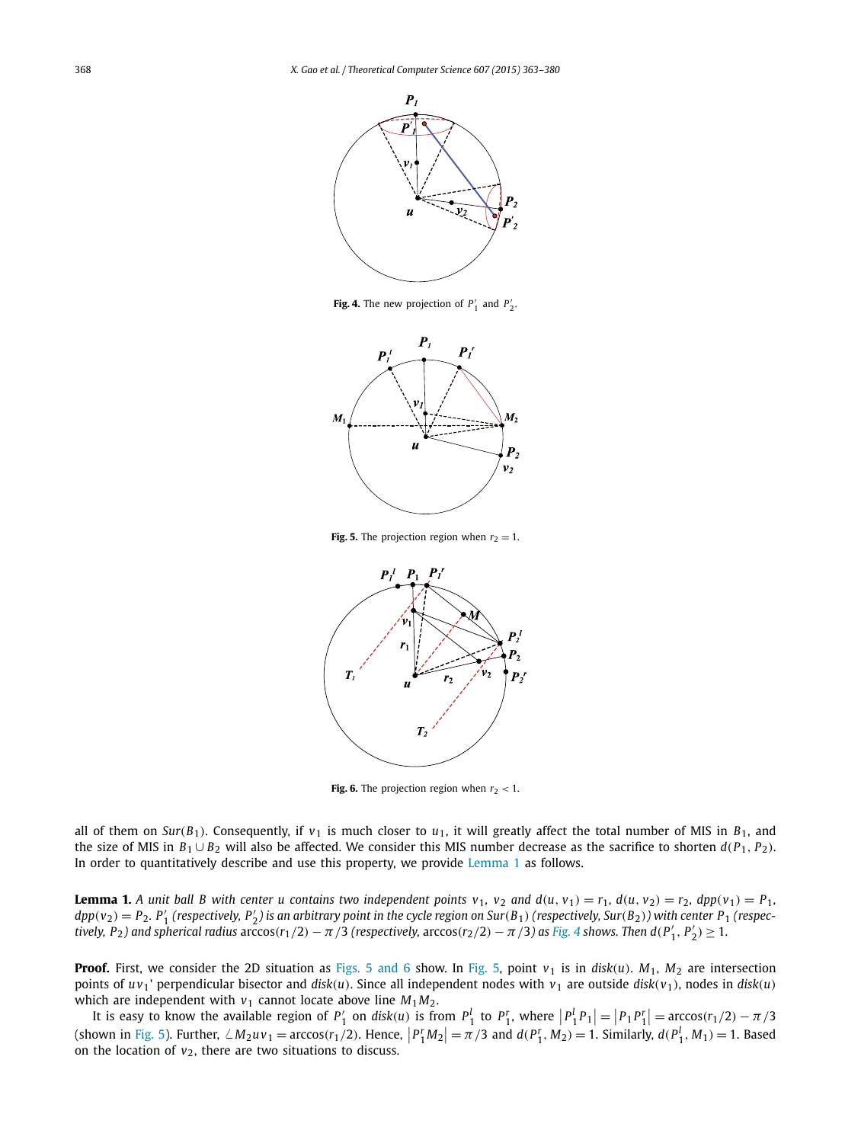<span id="page-5-0"></span>

**Fig. 4.** The new projection of  $P'_1$  and  $P'_2$ .



**Fig. 5.** The projection region when  $r_2 = 1$ .



**Fig. 6.** The projection region when  $r_2 < 1$ .

all of them on *Sur*( $B_1$ ). Consequently, if  $v_1$  is much closer to  $u_1$ , it will greatly affect the total number of MIS in  $B_1$ , and the size of MIS in  $B_1 \cup B_2$  will also be affected. We consider this MIS number decrease as the sacrifice to shorten  $d(P_1, P_2)$ . In order to quantitatively describe and use this property, we provide Lemma 1 as follows.

**Lemma 1.** A unit ball B with center u contains two independent points  $v_1$ ,  $v_2$  and  $d(u, v_1) = r_1$ ,  $d(u, v_2) = r_2$ ,  $dpp(v_1) = P_1$ ,  $dpp(v_2) = P_2$ .  $P'_1$  (respectively,  $P'_2$ ) is an arbitrary point in the cycle region on Sur(B<sub>1</sub>) (respectively, Sur(B<sub>2</sub>)) with center P<sub>1</sub> (respectively, P<sub>2</sub>) and spherical radius  $arccos(r_1/2)-\pi/3$  (respectively,  $arccos(r_2/2)-\pi/3$ ) as Fig. 4 shows. Then  $d(P'_1, P'_2) \geq 1$ .

**Proof.** First, we consider the 2D situation as Figs. 5 and 6 show. In Fig. 5, point  $v_1$  is in disk(*u*).  $M_1$ ,  $M_2$  are intersection points of  $uv_1$ ' perpendicular bisector and *disk*(*u*). Since all independent nodes with  $v_1$  are outside *disk*( $v_1$ ), nodes in *disk*(*u*) which are independent with  $v_1$  cannot locate above line  $M_1M_2$ .

It is easy to know the available region of  $P'_1$  on disk(u) is from  $P'_1$  to  $P'_1$ , where  $|P'_1P_1| = |P_1P'_1| = \arccos(r_1/2) - \pi/3$ (shown in Fig. 5). Further,  $\angle M_2 u v_1 = \arccos(r_1/2)$ . Hence,  $|P_1^r M_2| = \pi/3$  and  $d(P_1^r, M_2) = 1$ . Similarly,  $d(P_1^l, M_1) = 1$ . Based on the location of  $v_2$ , there are two situations to discuss.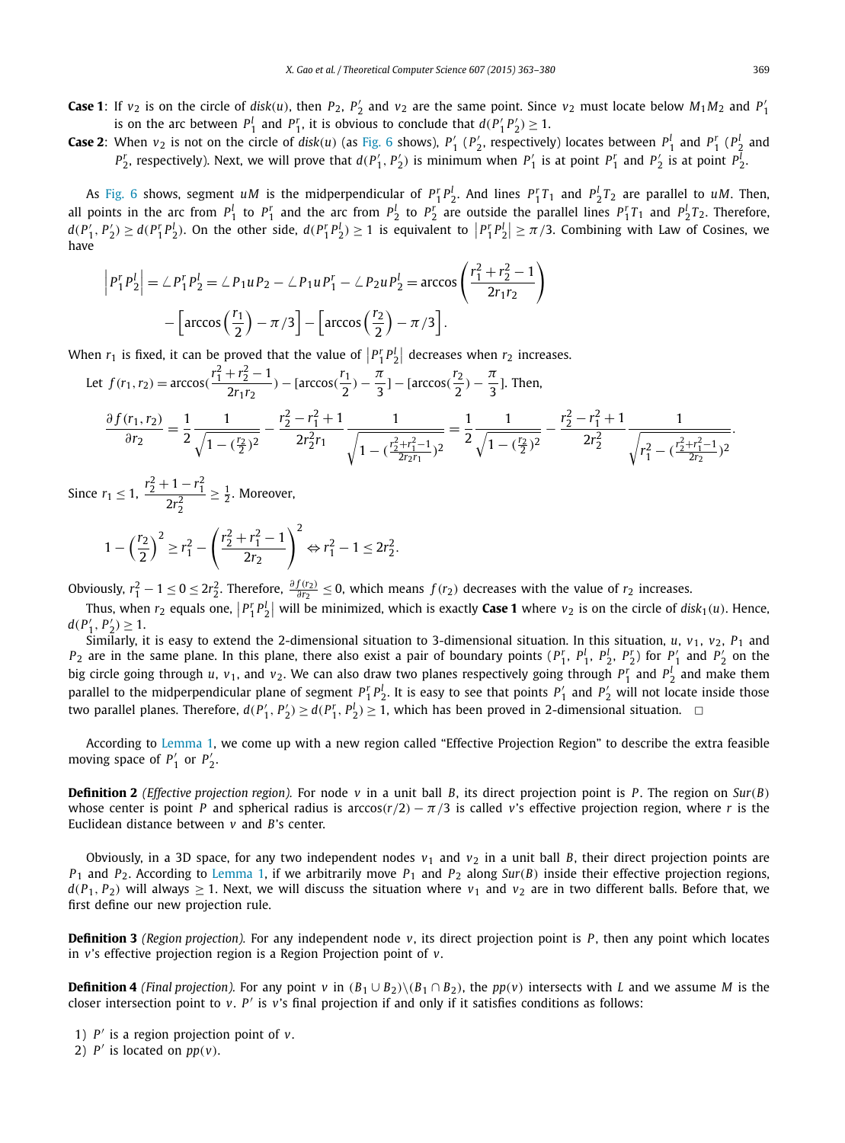<span id="page-6-0"></span>**Case 1**: If  $v_2$  is on the circle of *disk*(*u*), then  $P_2$ ,  $P'_2$  and  $v_2$  are the same point. Since  $v_2$  must locate below  $M_1M_2$  and  $P'_1$ is on the arc between  $P_1^l$  and  $P_1^r$ , it is obvious to conclude that  $d(P_1^l P_2^l) \geq 1$ .

**Case 2:** When  $v_2$  is not on the circle of disk(u) (as [Fig. 6](#page-5-0) shows),  $P'_1$  ( $P'_2$ , respectively) locates between  $P_1^l$  and  $P_1^r$  ( $P_2^l$  and  $P_2^r$ , respectively). Next, we will prove that  $d(P_1', P_2')$  is minimum when  $P_1'$  is at point  $P_1^r$  and  $P_2'$  is at point  $P_2^l$ .

As [Fig. 6](#page-5-0) shows, segment *uM* is the midperpendicular of  $P_1^r P_2^l$ . And lines  $P_1^r T_1$  and  $P_2^l T_2$  are parallel to *uM*. Then, all points in the arc from  $P_1^l$  to  $P_1^r$  and the arc from  $P_2^l$  to  $P_2^r$  are outside the parallel lines  $P_1^rT_1$  and  $P_2^lT_2$ . Therefore,  $d(P'_1, P'_2) \ge d(P_1^r P_2^l)$ . On the other side,  $d(P_1^r P_2^l) \ge 1$  is equivalent to  $|P_1^r P_2^l| \ge \pi/3$ . Combining with Law of Cosines, we have

$$
\left| P_1^r P_2^l \right| = \angle P_1^r P_2^l = \angle P_1 u P_2 - \angle P_1 u P_1^r - \angle P_2 u P_2^l = \arccos\left(\frac{r_1^2 + r_2^2 - 1}{2r_1r_2}\right) - \left[\arccos\left(\frac{r_1}{2}\right) - \pi/3\right] - \left[\arccos\left(\frac{r_2}{2}\right) - \pi/3\right].
$$

When  $r_1$  is fixed, it can be proved that the value of  $\left|P_1^r P_2^l\right|$  decreases when  $r_2$  increases.

Let 
$$
f(r_1, r_2) = \arccos(\frac{r_1^2 + r_2^2 - 1}{2r_1 r_2}) - [\arccos(\frac{r_1}{2}) - \frac{\pi}{3}] - [\arccos(\frac{r_2}{2}) - \frac{\pi}{3}].
$$
 Then,  
\n
$$
\frac{\partial f(r_1, r_2)}{\partial r_2} = \frac{1}{2} \frac{1}{\sqrt{1 - (\frac{r_2}{2})^2}} - \frac{r_2^2 - r_1^2 + 1}{2r_2^2 r_1} \frac{1}{\sqrt{1 - (\frac{r_2^2 + r_1^2 - 1}{2r_2 r_1})^2}} = \frac{1}{2} \frac{1}{\sqrt{1 - (\frac{r_2}{2})^2}} - \frac{r_2^2 - r_1^2 + 1}{2r_2^2} \frac{1}{\sqrt{r_1^2 - (\frac{r_2^2 + r_1^2 - 1}{2r_2})^2}}
$$

Since  $r_1 \leq 1$ ,  $\frac{r_2^2 + 1 - r_1^2}{2r_2^2}$  $\geq \frac{1}{2}$ . Moreover,

$$
1 - \left(\frac{r_2}{2}\right)^2 \ge r_1^2 - \left(\frac{r_2^2 + r_1^2 - 1}{2r_2}\right)^2 \Leftrightarrow r_1^2 - 1 \le 2r_2^2.
$$

Obviously,  $r_1^2 - 1 \le 0 \le 2r_2^2$ . Therefore,  $\frac{\partial f(r_2)}{\partial r_2} \le 0$ , which means  $f(r_2)$  decreases with the value of  $r_2$  increases.

Thus, when  $r_2$  equals one,  $\left| P_1^r P_2^l \right|$  will be minimized, which is exactly **Case 1** where  $v_2$  is on the circle of  $disk_1(u)$ . Hence,  $d(P'_1, P'_2) \geq 1.$ 

Similarly, it is easy to extend the 2-dimensional situation to 3-dimensional situation. In this situation, *u*,  $v_1$ ,  $v_2$ ,  $P_1$  and  $P_2$  are in the same plane. In this plane, there also exist a pair of boundary points  $(P_1^r, P_1^l, P_2^l, P_2^r)$  for  $P_1'$  and  $P_2'$  on the big circle going through *u*, *v*<sub>1</sub>, and *v*<sub>2</sub>. We can also draw two planes respectively going through  $P_1^r$  and  $P_2^l$  and make them parallel to the midperpendicular plane of segment  $P_1^rP_2^l$ . It is easy to see that points  $P_1'$  and  $P_2'$  will not locate inside those two parallel planes. Therefore,  $d(P'_1, P'_2) \geq d(P'_1, P'_2) \geq 1$ , which has been proved in 2-dimensional situation.  $\Box$ 

According to [Lemma 1,](#page-5-0) we come up with a new region called "Effective Projection Region" to describe the extra feasible moving space of  $P'_1$  or  $P'_2$ .

**Definition 2** (*Effective projection region*). For node *v* in a unit ball *B*, its direct projection point is *P*. The region on *Sur*(*B*) whose center is point *P* and spherical radius is arccos $(r/2) - \pi/3$  is called *v*'s effective projection region, where *r* is the Euclidean distance between *v* and *B*'s center.

Obviously, in a 3D space, for any two independent nodes  $v_1$  and  $v_2$  in a unit ball *B*, their direct projection points are  $P_1$  and  $P_2$ . According to [Lemma 1,](#page-5-0) if we arbitrarily move  $P_1$  and  $P_2$  along *Sur*(*B*) inside their effective projection regions,  $d(P_1, P_2)$  will always  $\geq 1$ . Next, we will discuss the situation where  $v_1$  and  $v_2$  are in two different balls. Before that, we first define our new projection rule.

**Definition 3** *(Region projection)*. For any independent node  $v$ , its direct projection point is  $P$ , then any point which locates in *v*'s effective projection region is a Region Projection point of *v*.

**Definition 4** (Final projection). For any point v in  $(B_1 \cup B_2) \setminus (B_1 \cap B_2)$ , the pp(v) intersects with L and we assume M is the closer intersection point to *v*. *P* is *v*'s final projection if and only if it satisfies conditions as follows:

1) *P* is a region projection point of *v*.

2)  $P'$  is located on  $pp(v)$ .

*.*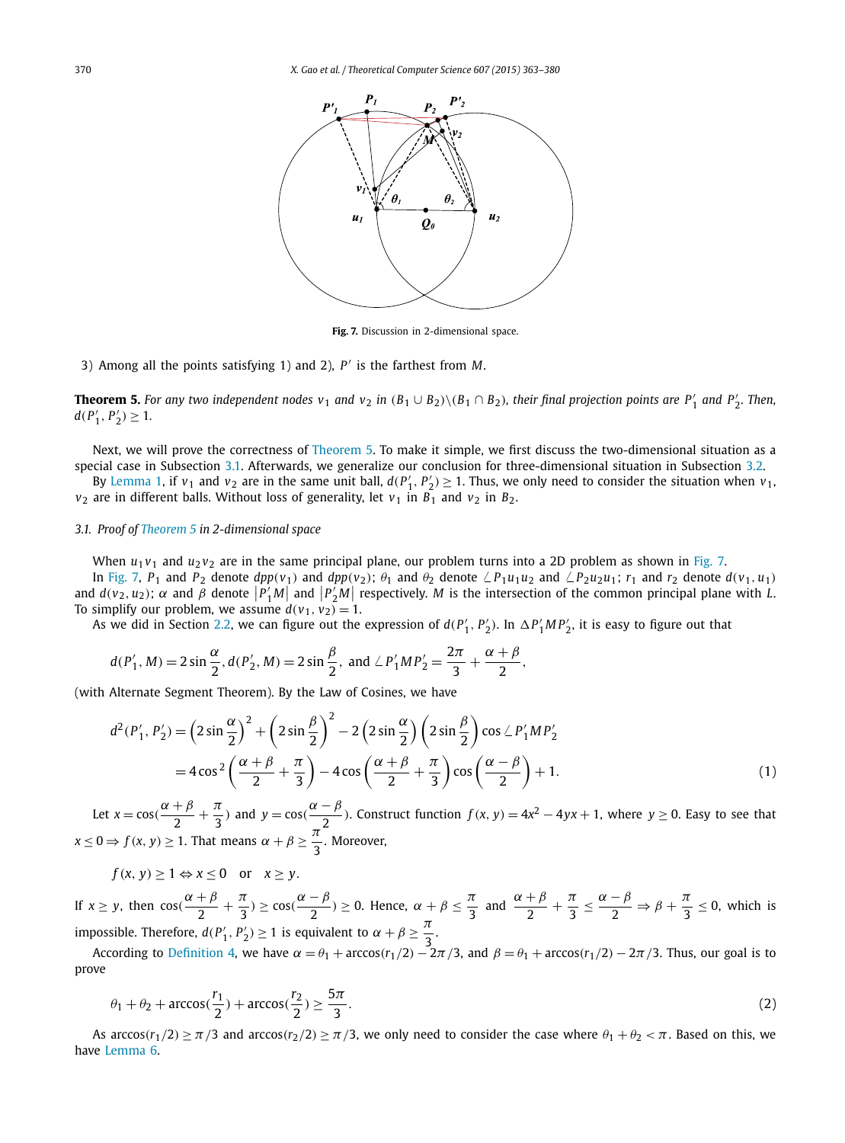<span id="page-7-0"></span>

**Fig. 7.** Discussion in 2-dimensional space.

3) Among all the points satisfying 1) and 2), *P* is the farthest from *M*.

**Theorem 5.** For any two independent nodes  $v_1$  and  $v_2$  in  $(B_1 \cup B_2) \setminus (B_1 \cap B_2)$ , their final projection points are  $P'_1$  and  $P'_2$ . Then,  $d(P'_1, P'_2) \geq 1$ .

Next, we will prove the correctness of Theorem 5. To make it simple, we first discuss the two-dimensional situation as a special case in Subsection 3.1. Afterwards, we generalize our conclusion for three-dimensional situation in Subsection [3.2.](#page-10-0)

By [Lemma 1,](#page-5-0) if  $v_1$  and  $v_2$  are in the same unit ball,  $d(P'_1, P'_2) \ge 1$ . Thus, we only need to consider the situation when  $v_1$ ,  $v_2$  are in different balls. Without loss of generality, let  $v_1$  in  $B_1$  and  $v_2$  in  $B_2$ .

#### *3.1. Proof of Theorem 5 in 2-dimensional space*

When  $u_1v_1$  and  $u_2v_2$  are in the same principal plane, our problem turns into a 2D problem as shown in Fig. 7.

In Fig. 7, P<sub>1</sub> and P<sub>2</sub> denote  $dpp(v_1)$  and  $dpp(v_2)$ ;  $\theta_1$  and  $\theta_2$  denote  $\angle P_1u_1u_2$  and  $\angle P_2u_2u_1$ ;  $r_1$  and  $r_2$  denote  $d(v_1, u_1)$ and  $d(v_2, u_2)$ ;  $\alpha$  and  $\beta$  denote  $|P'_1M|$  and  $|P'_2M|$  respectively. M is the intersection of the common principal plane with L. To simplify our problem, we assume  $d(v_1, v_2) = 1$ .

As we did in Section [2.2,](#page-3-0) we can figure out the expression of  $d(P'_1, P'_2)$ . In  $\Delta P'_1 M P'_2$ , it is easy to figure out that

$$
d(P'_1, M) = 2\sin{\frac{\alpha}{2}}, d(P'_2, M) = 2\sin{\frac{\beta}{2}}, \text{ and } \angle{P'_1}MP'_2 = \frac{2\pi}{3} + \frac{\alpha + \beta}{2},
$$

(with Alternate Segment Theorem). By the Law of Cosines, we have

$$
d^{2}(P'_{1}, P'_{2}) = \left(2\sin\frac{\alpha}{2}\right)^{2} + \left(2\sin\frac{\beta}{2}\right)^{2} - 2\left(2\sin\frac{\alpha}{2}\right)\left(2\sin\frac{\beta}{2}\right)\cos\angle P'_{1}MP'_{2}
$$
  
=  $4\cos^{2}\left(\frac{\alpha+\beta}{2}+\frac{\pi}{3}\right) - 4\cos\left(\frac{\alpha+\beta}{2}+\frac{\pi}{3}\right)\cos\left(\frac{\alpha-\beta}{2}\right) + 1.$  (1)

Let  $x = cos(\frac{\alpha + \beta}{2} + \frac{\pi}{3})$  and  $y = cos(\frac{\alpha - \beta}{2})$ . Construct function  $f(x, y) = 4x^2 - 4yx + 1$ , where  $y \ge 0$ . Easy to see that  $x \le 0 \Rightarrow f(x, y) \ge 1$ . That means  $\alpha + \beta \ge \frac{\pi^2}{3}$ . Moreover,

 $f(x, y) > 1 \Leftrightarrow x < 0$  or  $x > y$ .

If  $x \ge y$ , then  $\cos(\frac{\alpha+\beta}{2}+\frac{\pi}{3}) \ge \cos(\frac{\alpha-\beta}{2}) \ge 0$ . Hence,  $\alpha+\beta \le \frac{\pi}{3}$  $\frac{\pi}{3}$  and  $\frac{\alpha+\beta}{2}+\frac{\pi}{3}\leq \frac{\alpha-\beta}{2} \Rightarrow \beta+\frac{\pi}{3}\leq 0$ , which is impossible. Therefore,  $d(P'_1, P'_2) \ge 1$  is equivalent to  $\alpha + \beta \ge \frac{\pi}{3}$ .

According to [Definition 4,](#page-6-0) we have  $\alpha = \theta_1 + \arccos(r_1/2) - 2\pi/3$ , and  $\beta = \theta_1 + \arccos(r_1/2) - 2\pi/3$ . Thus, our goal is to prove

$$
\theta_1 + \theta_2 + \arccos(\frac{r_1}{2}) + \arccos(\frac{r_2}{2}) \ge \frac{5\pi}{3}.
$$
 (2)

As arccos $(r_1/2) \ge \pi/3$  and arccos $(r_2/2) \ge \pi/3$ , we only need to consider the case where  $\theta_1 + \theta_2 < \pi$ . Based on this, we have [Lemma 6.](#page-8-0)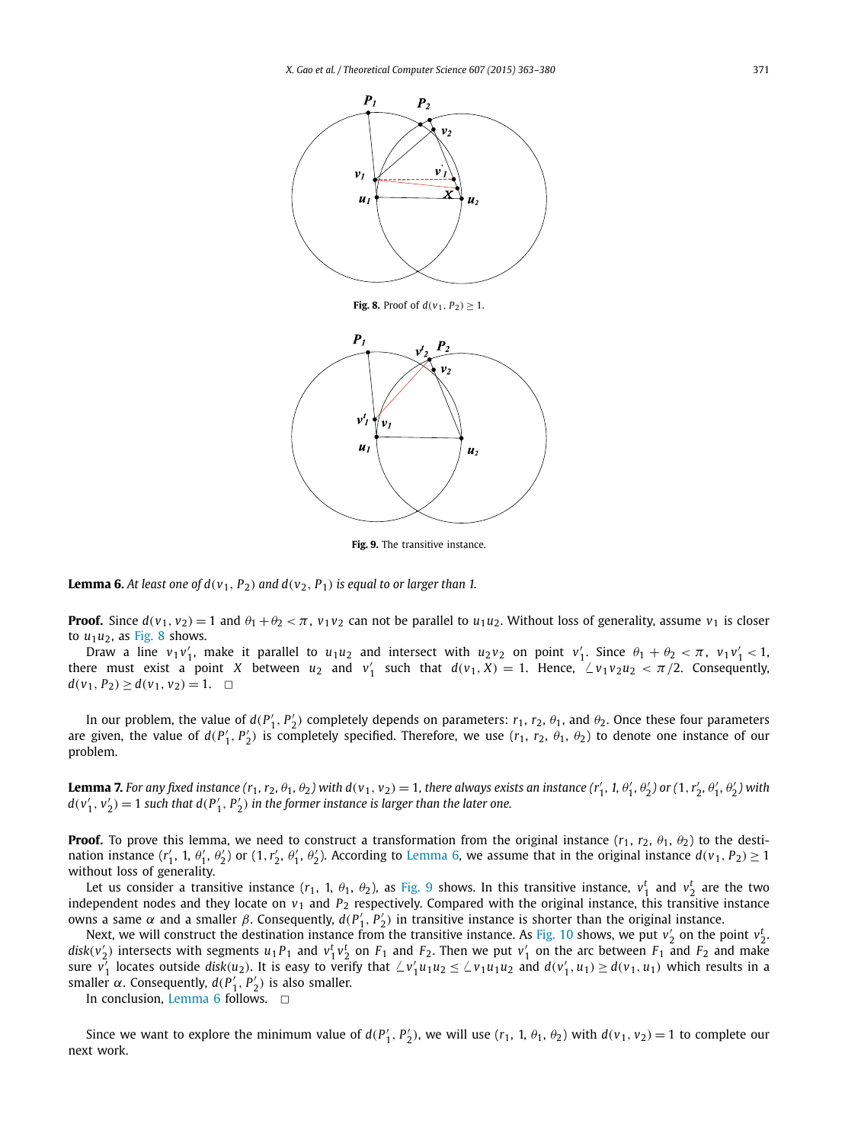<span id="page-8-0"></span>

**Fig. 8.** Proof of  $d(v_1, P_2) \geq 1$ .



**Fig. 9.** The transitive instance.

**Lemma 6.** At least one of  $d(v_1, P_2)$  and  $d(v_2, P_1)$  is equal to or larger than 1.

**Proof.** Since  $d(v_1, v_2) = 1$  and  $\theta_1 + \theta_2 < \pi$ ,  $v_1v_2$  can not be parallel to  $u_1u_2$ . Without loss of generality, assume  $v_1$  is closer to  $u_1u_2$ , as Fig. 8 shows.

Draw a line  $v_1v'_1$ , make it parallel to  $u_1u_2$  and intersect with  $u_2v_2$  on point  $v'_1$ . Since  $\theta_1 + \theta_2 < \pi$ ,  $v_1v'_1 < 1$ , there must exist a point *X* between  $u_2$  and  $v'_1$  such that  $d(v_1, X) = 1$ . Hence,  $\angle v_1 v_2 u_2 < \pi/2$ . Consequently, *d*(*v*<sub>1</sub>*, P*<sub>2</sub>*)* ≥ *d*(*v*<sub>1</sub>*, v*<sub>2</sub>*)* = 1. <del>□</del>

In our problem, the value of  $d(P'_1, P'_2)$  completely depends on parameters:  $r_1, r_2, \theta_1$ , and  $\theta_2$ . Once these four parameters are given, the value of  $d(P'_1, P'_2)$  is completely specified. Therefore, we use  $(r_1, r_2, \theta_1, \theta_2)$  to denote one instance of our problem.

**Lemma 7.** For any fixed instance  $(r_1, r_2, \theta_1, \theta_2)$  with  $d(v_1, v_2) = 1$ , there always exists an instance  $(r'_1, 1, \theta'_1, \theta'_2)$  or  $(1, r'_2, \theta'_1, \theta'_2)$  with  $d(v'_1, v'_2) = 1$  such that  $d(P'_1, P'_2)$  in the former instance is larger than the later one.

**Proof.** To prove this lemma, we need to construct a transformation from the original instance  $(r_1, r_2, \theta_1, \theta_2)$  to the destination instance  $(r'_1, 1, \theta'_1, \theta'_2)$  or  $(1, r'_2, \theta'_1, \theta'_2)$ . According to Lemma 6, we assume that in the original instance  $d(v_1, P_2) \ge 1$ without loss of generality.

Let us consider a transitive instance  $(r_1, 1, \theta_1, \theta_2)$ , as Fig. 9 shows. In this transitive instance,  $v_1^t$  and  $v_2^t$  are the two independent nodes and they locate on  $v_1$  and  $P_2$  respectively. Compared with the original instance, this transitive instance *owns* a same *α* and a smaller *β*. Consequently,  $d(P'_1, P'_2)$  in transitive instance is shorter than the original instance.

Next, we will construct the destination instance from the transitive instance. As [Fig. 10](#page-9-0) shows, we put  $v_2'$  on the point  $v_2'$ .  $disk(v'_2)$  intersects with segments  $u_1P_1$  and  $v_1^t v_2^t$  on  $F_1$  and  $F_2$ . Then we put  $v'_1$  on the arc between  $F_1$  and  $F_2$  and make sure  $v_1'$  locates outside disk(u<sub>2</sub>). It is easy to verify that  $\angle v_1'u_1u_2 \le \angle v_1u_1u_2$  and  $d(v_1', u_1) \ge d(v_1, u_1)$  which results in a smaller *α*. Consequently,  $d(P'_1, P'_2)$  is also smaller.

In conclusion, Lemma 6 follows.  $\Box$ 

Since we want to explore the minimum value of  $d(P'_1, P'_2)$ , we will use  $(r_1, 1, \theta_1, \theta_2)$  with  $d(v_1, v_2) = 1$  to complete our next work.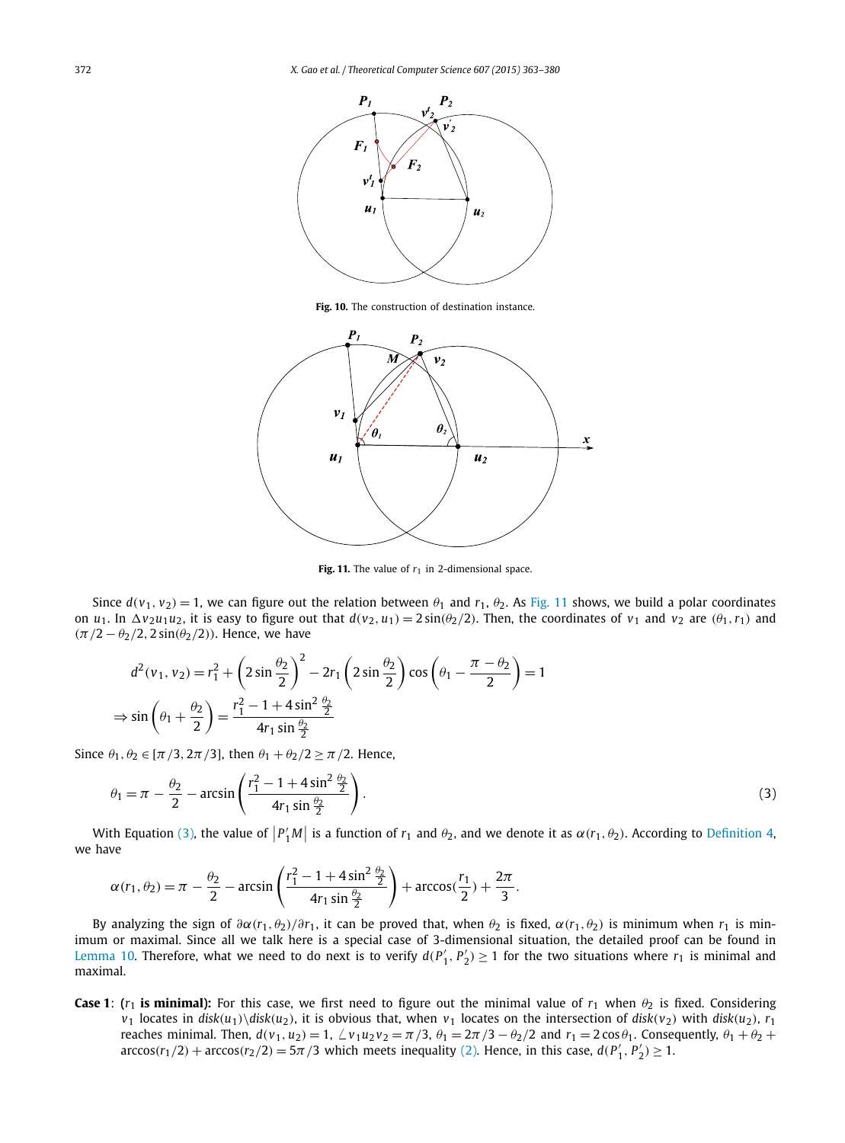<span id="page-9-0"></span>

**Fig. 10.** The construction of destination instance.



Fig. 11. The value of  $r_1$  in 2-dimensional space.

Since  $d(v_1, v_2) = 1$ , we can figure out the relation between  $\theta_1$  and  $r_1$ ,  $\theta_2$ . As Fig. 11 shows, we build a polar coordinates on  $u_1$ . In  $\Delta v_2 u_1 u_2$ , it is easy to figure out that  $d(v_2, u_1) = 2 \sin(\theta_2/2)$ . Then, the coordinates of  $v_1$  and  $v_2$  are  $(\theta_1, r_1)$  and *(π/*2 − *θ*2*/*2*,* 2 sin*(θ*2*/*2*))*. Hence, we have

$$
d^{2}(v_{1}, v_{2}) = r_{1}^{2} + \left(2\sin\frac{\theta_{2}}{2}\right)^{2} - 2r_{1}\left(2\sin\frac{\theta_{2}}{2}\right)\cos\left(\theta_{1} - \frac{\pi - \theta_{2}}{2}\right) = 1
$$
  

$$
\Rightarrow \sin\left(\theta_{1} + \frac{\theta_{2}}{2}\right) = \frac{r_{1}^{2} - 1 + 4\sin^{2}\frac{\theta_{2}}{2}}{4r_{1}\sin\frac{\theta_{2}}{2}}
$$

Since  $\theta_1, \theta_2 \in [\pi/3, 2\pi/3]$ , then  $\theta_1 + \theta_2/2 \ge \pi/2$ . Hence,

$$
\theta_1 = \pi - \frac{\theta_2}{2} - \arcsin\left(\frac{r_1^2 - 1 + 4\sin^2\frac{\theta_2}{2}}{4r_1\sin\frac{\theta_2}{2}}\right). \tag{3}
$$

With Equation (3), the value of  $|P'_1M|$  is a function of  $r_1$  and  $\theta_2$ , and we denote it as  $\alpha(r_1, \theta_2)$ . According to [Definition 4,](#page-6-0) we have

$$
\alpha(r_1, \theta_2) = \pi - \frac{\theta_2}{2} - \arcsin\left(\frac{r_1^2 - 1 + 4\sin^2\frac{\theta_2}{2}}{4r_1\sin\frac{\theta_2}{2}}\right) + \arccos(\frac{r_1}{2}) + \frac{2\pi}{3}.
$$

By analyzing the sign of  $\partial \alpha(r_1, \theta_2)/\partial r_1$ , it can be proved that, when  $\theta_2$  is fixed,  $\alpha(r_1, \theta_2)$  is minimum when  $r_1$  is minimum or maximal. Since all we talk here is a special case of 3-dimensional situation, the detailed proof can be found in [Lemma 10.](#page-11-0) Therefore, what we need to do next is to verify  $d(P'_1, P'_2) \ge 1$  for the two situations where  $r_1$  is minimal and maximal.

**Case 1**: ( $r_1$  is minimal): For this case, we first need to figure out the minimal value of  $r_1$  when  $\theta_2$  is fixed. Considering  $v_1$  locates in  $disk(u_1) \ddot{ }\,$  disk $(u_2)$ , it is obvious that, when  $v_1$  locates on the intersection of  $disk(v_2)$  with  $disk(u_2)$ ,  $r_1$ reaches minimal. Then,  $d(v_1, u_2) = 1$ ,  $\angle v_1 u_2 v_2 = \pi/3$ ,  $\theta_1 = 2\pi/3 - \theta_2/2$  and  $r_1 = 2\cos\theta_1$ . Consequently,  $\theta_1 + \theta_2 + \theta_3$  $\arccos(r_1/2) + \arccos(r_2/2) = 5\pi/3$  which meets inequality [\(2\).](#page-7-0) Hence, in this case,  $d(P'_1, P'_2) \ge 1$ .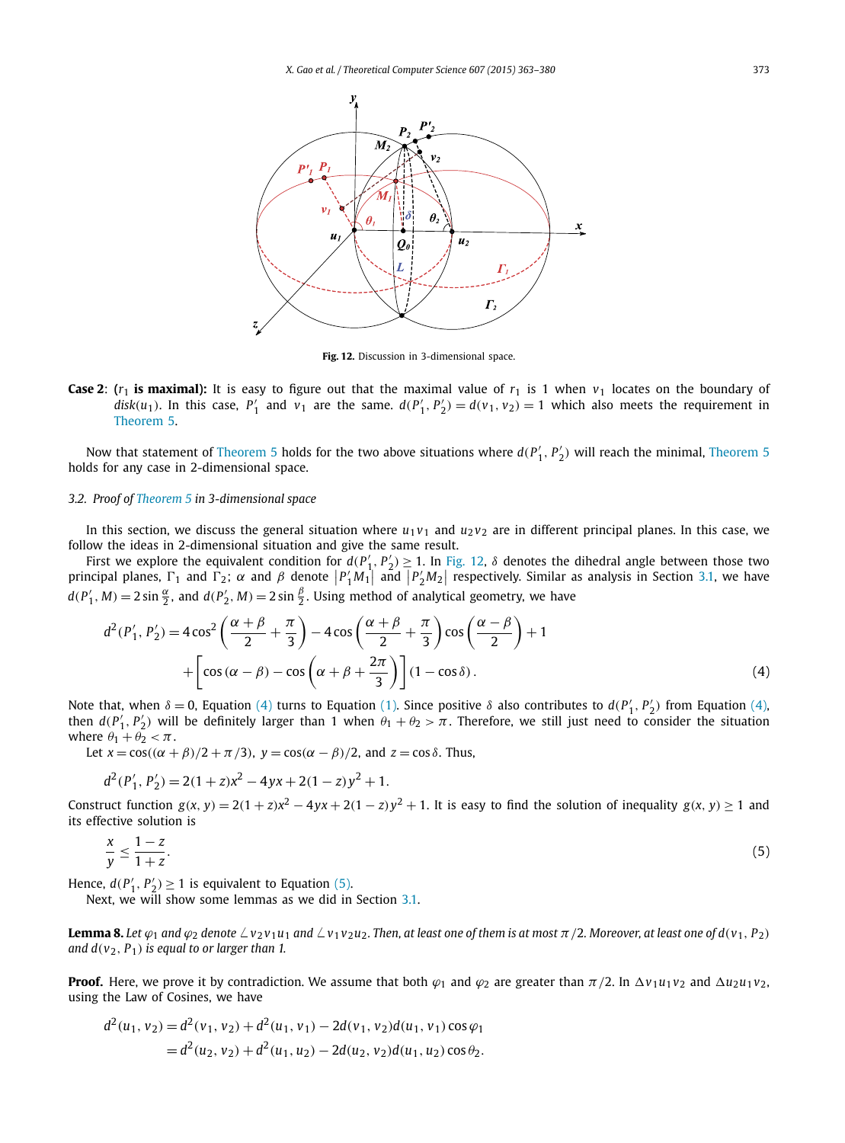<span id="page-10-0"></span>

**Fig. 12.** Discussion in 3-dimensional space.

**Case 2:** ( $r_1$  is maximal): It is easy to figure out that the maximal value of  $r_1$  is 1 when  $v_1$  locates on the boundary of  $disk(u_1)$ . In this case,  $P'_1$  and  $v_1$  are the same.  $d(P'_1, P'_2) = d(v_1, v_2) = 1$  which also meets the requirement in [Theorem 5.](#page-7-0)

Now that statement of [Theorem 5](#page-7-0) holds for the two above situations where  $d(P'_1, P'_2)$  will reach the minimal, Theorem 5 holds for any case in 2-dimensional space.

#### *3.2. Proof of [Theorem 5](#page-7-0) in 3-dimensional space*

In this section, we discuss the general situation where  $u_1v_1$  and  $u_2v_2$  are in different principal planes. In this case, we follow the ideas in 2-dimensional situation and give the same result.

First we explore the equivalent condition for  $d(P'_1, P'_2) \ge 1$ . In Fig. 12,  $\delta$  denotes the dihedral angle between those two principal planes,  $\Gamma_1$  and  $\Gamma_2$ ;  $\alpha$  and  $\beta$  denote  $|P'_1M_1|$  and  $|P'_2M_2|$  respectively. Similar as analysis in Section [3.1,](#page-7-0) we have  $d(P'_1, M) = 2 \sin \frac{\alpha}{2}$ , and  $d(P'_2, M) = 2 \sin \frac{\beta}{2}$ . Using method of analytical geometry, we have

$$
d^{2}(P'_{1}, P'_{2}) = 4\cos^{2}\left(\frac{\alpha+\beta}{2}+\frac{\pi}{3}\right) - 4\cos\left(\frac{\alpha+\beta}{2}+\frac{\pi}{3}\right)\cos\left(\frac{\alpha-\beta}{2}\right) + 1 + \left[\cos(\alpha-\beta) - \cos\left(\alpha+\beta+\frac{2\pi}{3}\right)\right](1-\cos\delta). \tag{4}
$$

Note that, when  $\delta = 0$ , Equation (4) turns to Equation [\(1\).](#page-7-0) Since positive  $\delta$  also contributes to  $d(P'_1, P'_2)$  from Equation (4), then  $d(P'_1, P'_2)$  will be definitely larger than 1 when  $\theta_1 + \theta_2 > \pi$ . Therefore, we still just need to consider the situation where  $\theta_1 + \theta_2 < \pi$ .

Let  $x = cos((\alpha + \beta)/2 + \pi/3)$ ,  $y = cos(\alpha - \beta)/2$ , and  $z = cos \delta$ . Thus,

$$
d^{2}(P'_{1}, P'_{2}) = 2(1 + z)x^{2} - 4yx + 2(1 - z)y^{2} + 1.
$$

Construct function  $g(x, y) = 2(1 + z)x^2 - 4yx + 2(1 - z)y^2 + 1$ . It is easy to find the solution of inequality  $g(x, y) \ge 1$  and its effective solution is

$$
\frac{x}{y} \le \frac{1-z}{1+z}.\tag{5}
$$

Hence,  $d(P'_1, P'_2) \ge 1$  is equivalent to Equation (5).

Next, we will show some lemmas as we did in Section [3.1.](#page-7-0)

**Lemma 8.** Let  $\varphi_1$  and  $\varphi_2$  denote  $\angle v_2v_1u_1$  and  $\angle v_1v_2u_2$ . Then, at least one of them is at most  $\pi/2$ . Moreover, at least one of  $d(v_1, P_2)$ *and*  $d(v_2, P_1)$  *is equal to or larger than 1.* 

**Proof.** Here, we prove it by contradiction. We assume that both  $\varphi_1$  and  $\varphi_2$  are greater than  $\pi/2$ . In  $\Delta v_1 u_1 v_2$  and  $\Delta u_2 u_1 v_2$ , using the Law of Cosines, we have

$$
d^{2}(u_{1}, v_{2}) = d^{2}(v_{1}, v_{2}) + d^{2}(u_{1}, v_{1}) - 2d(v_{1}, v_{2})d(u_{1}, v_{1})\cos\varphi_{1}
$$
  
=  $d^{2}(u_{2}, v_{2}) + d^{2}(u_{1}, u_{2}) - 2d(u_{2}, v_{2})d(u_{1}, u_{2})\cos\theta_{2}.$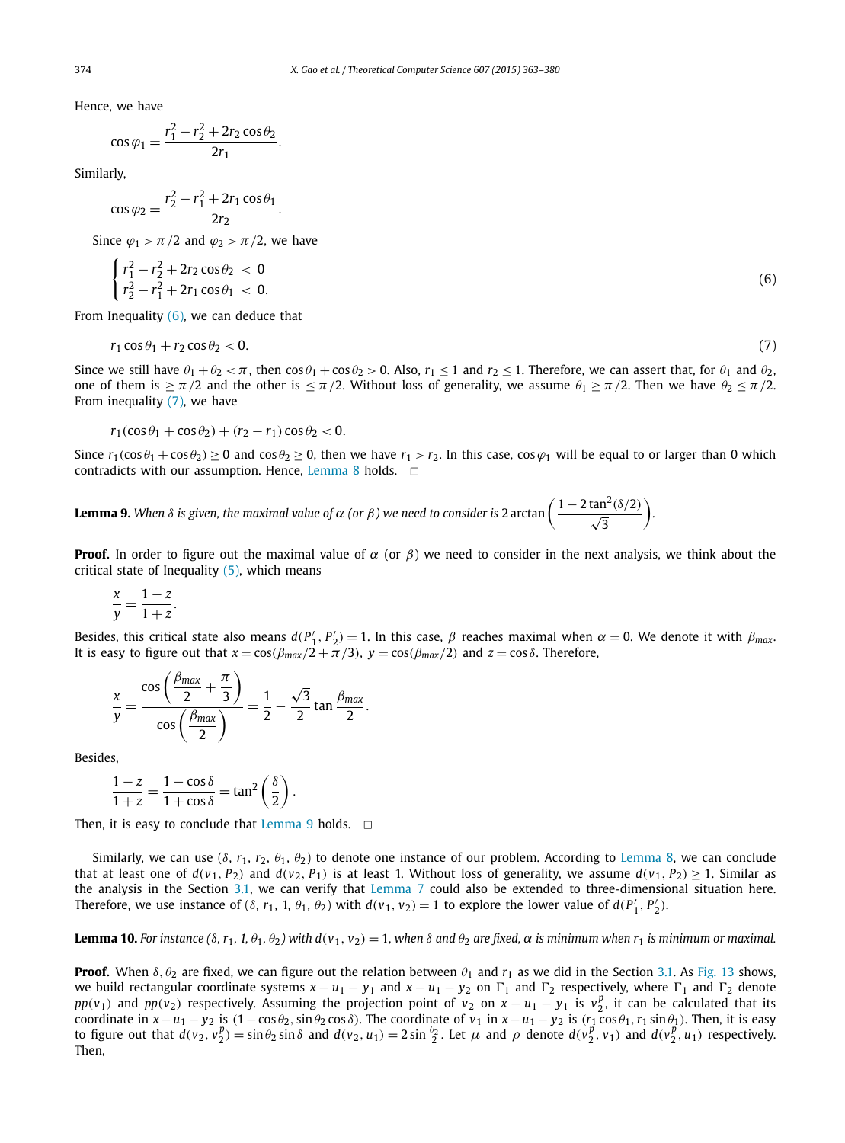<span id="page-11-0"></span>Hence, we have

$$
\cos\varphi_1 = \frac{r_1^2 - r_2^2 + 2r_2\cos\theta_2}{2r_1}.
$$

Similarly,

$$
\cos \varphi_2 = \frac{r_2^2 - r_1^2 + 2r_1 \cos \theta_1}{2r_2}.
$$

Since  $\varphi_1 > \pi/2$  and  $\varphi_2 > \pi/2$ , we have

$$
\begin{cases}\nr_1^2 - r_2^2 + 2r_2 \cos \theta_2 < 0 \\
r_2^2 - r_1^2 + 2r_1 \cos \theta_1 < 0.\n\end{cases} \tag{6}
$$

From Inequality  $(6)$ , we can deduce that

$$
r_1 \cos \theta_1 + r_2 \cos \theta_2 < 0. \tag{7}
$$

Since we still have  $\theta_1 + \theta_2 < \pi$ , then  $\cos \theta_1 + \cos \theta_2 > 0$ . Also,  $r_1 \le 1$  and  $r_2 \le 1$ . Therefore, we can assert that, for  $\theta_1$  and  $\theta_2$ , one of them is  $\geq \pi/2$  and the other is  $\leq \pi/2$ . Without loss of generality, we assume  $\theta_1 \geq \pi/2$ . Then we have  $\theta_2 \leq \pi/2$ . From inequality (7), we have

 $r_1(\cos\theta_1 + \cos\theta_2) + (r_2 - r_1)\cos\theta_2 < 0.$ 

Since  $r_1(\cos\theta_1 + \cos\theta_2) \ge 0$  and  $\cos\theta_2 \ge 0$ , then we have  $r_1 > r_2$ . In this case,  $\cos\varphi_1$  will be equal to or larger than 0 which contradicts with our assumption. Hence, [Lemma 8](#page-10-0) holds.  $\Box$ 

**Lemma 9.** When  $\delta$  is given, the maximal value of  $\alpha$  (or  $\beta$ ) we need to consider is 2 arctan  $\left(\frac{1-2\tan^2(\delta/2)}{\sqrt{3}}\right)$ .

**Proof.** In order to figure out the maximal value of  $\alpha$  (or  $\beta$ ) we need to consider in the next analysis, we think about the critical state of Inequality [\(5\),](#page-10-0) which means

$$
\frac{x}{y} = \frac{1-z}{1+z}.
$$

Besides, this critical state also means  $d(P'_1, P'_2) = 1$ . In this case,  $\beta$  reaches maximal when  $\alpha = 0$ . We denote it with  $\beta_{max}$ . It is easy to figure out that  $x = cos(\beta_{max}/2 + \pi/3)$ ,  $y = cos(\beta_{max}/2)$  and  $z = cos \delta$ . Therefore,

$$
\frac{x}{y} = \frac{\cos\left(\frac{\beta_{\text{max}}}{2} + \frac{\pi}{3}\right)}{\cos\left(\frac{\beta_{\text{max}}}{2}\right)} = \frac{1}{2} - \frac{\sqrt{3}}{2} \tan \frac{\beta_{\text{max}}}{2}.
$$

Besides,

$$
\frac{1-z}{1+z} = \frac{1-\cos\delta}{1+\cos\delta} = \tan^2\left(\frac{\delta}{2}\right).
$$

Then, it is easy to conclude that Lemma 9 holds.  $\Box$ 

Similarly, we can use (*δ*, *r*1, *r*2, *θ*1, *θ*2) to denote one instance of our problem. According to [Lemma 8,](#page-10-0) we can conclude that at least one of  $d(v_1, P_2)$  and  $d(v_2, P_1)$  is at least 1. Without loss of generality, we assume  $d(v_1, P_2) > 1$ . Similar as the analysis in the Section [3.1,](#page-7-0) we can verify that [Lemma 7](#page-8-0) could also be extended to three-dimensional situation here. Therefore, we use instance of  $(\delta, r_1, 1, \theta_1, \theta_2)$  with  $d(v_1, v_2) = 1$  to explore the lower value of  $d(P'_1, P'_2)$ .

**Lemma 10.** For instance  $(\delta, r_1, 1, \theta_1, \theta_2)$  with  $d(v_1, v_2) = 1$ , when  $\delta$  and  $\theta_2$  are fixed,  $\alpha$  is minimum when  $r_1$  is minimum or maximal.

**Proof.** When  $\delta$ ,  $\theta_2$  are fixed, we can figure out the relation between  $\theta_1$  and  $r_1$  as we did in the Section [3.1.](#page-7-0) As [Fig. 13](#page-12-0) shows, we build rectangular coordinate systems  $x - u_1 - y_1$  and  $x - u_1 - y_2$  on  $\Gamma_1$  and  $\Gamma_2$  respectively, where  $\Gamma_1$  and  $\Gamma_2$  denote *pp*(*v*<sub>1</sub>) and *pp*(*v*<sub>2</sub>) respectively. Assuming the projection point of *v*<sub>2</sub> on *x* − *u*<sub>1</sub> − *y*<sub>1</sub> is *v*<sup>*p*</sup><sub>2</sub>, it can be calculated that its coordinate in  $x - u_1 - y_2$  is  $(1 - \cos \theta_2, \sin \theta_2 \cos \delta)$ . The coordinate of  $v_1$  in  $x - u_1 - y_2$  is  $(r_1 \cos \theta_1, r_1 \sin \theta_1)$ . Then, it is easy to figure out that  $d(v_2, v_2^p) = \sin \theta_2 \sin \delta$  and  $d(v_2, u_1) = 2 \sin \frac{\theta_2}{2}$ . Let  $\mu$  and  $\rho$  denote  $d(v_2^p, v_1)$  and  $d(v_2^p, u_1)$  respectively. Then,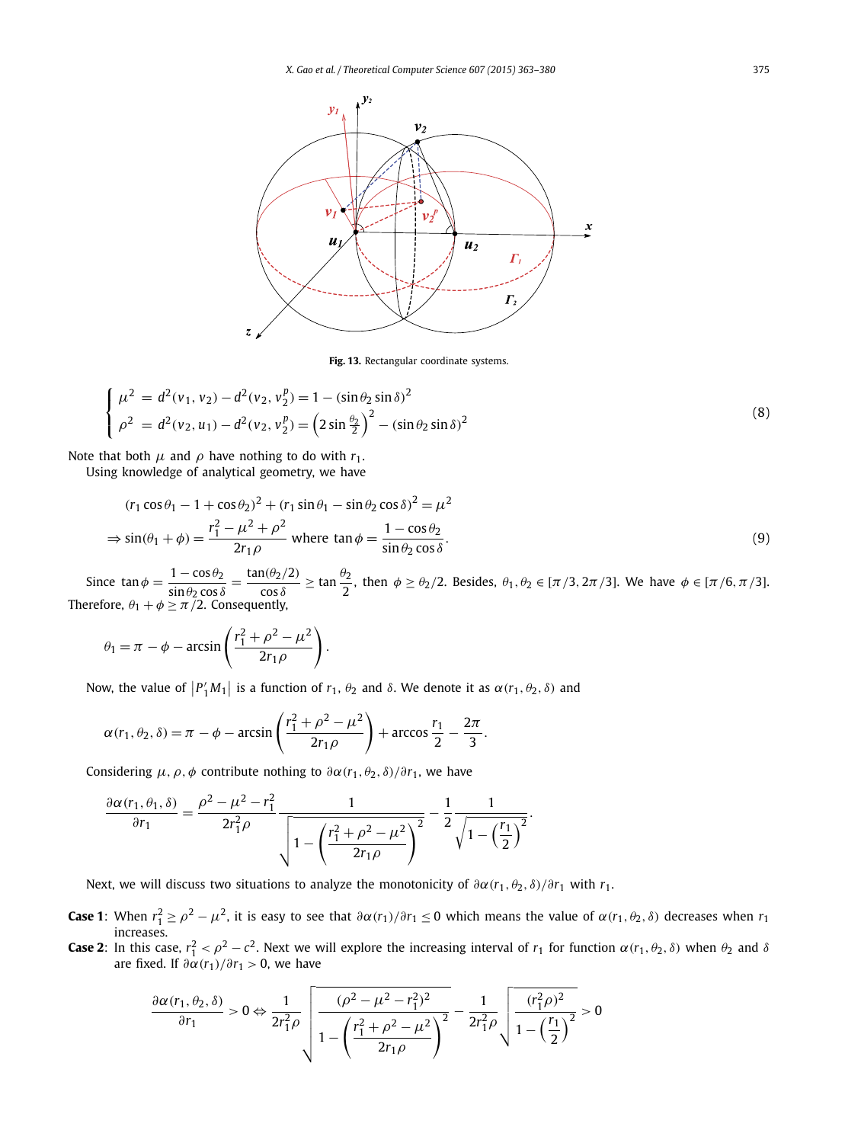<span id="page-12-0"></span>

**Fig. 13.** Rectangular coordinate systems.

$$
\begin{cases}\n\mu^2 = d^2(v_1, v_2) - d^2(v_2, v_2^p) = 1 - (\sin \theta_2 \sin \delta)^2 \\
\rho^2 = d^2(v_2, u_1) - d^2(v_2, v_2^p) = \left(2 \sin \frac{\theta_2}{2}\right)^2 - (\sin \theta_2 \sin \delta)^2\n\end{cases}
$$
\n(8)

Note that both  $\mu$  and  $\rho$  have nothing to do with  $r_1$ .

Using knowledge of analytical geometry, we have

$$
(r_1 \cos \theta_1 - 1 + \cos \theta_2)^2 + (r_1 \sin \theta_1 - \sin \theta_2 \cos \delta)^2 = \mu^2
$$
  
\n
$$
\Rightarrow \sin(\theta_1 + \phi) = \frac{r_1^2 - \mu^2 + \rho^2}{2r_1 \rho} \text{ where } \tan \phi = \frac{1 - \cos \theta_2}{\sin \theta_2 \cos \delta}.
$$
 (9)

Since  $\tan \phi = \frac{1 - \cos \theta_2}{\sin \theta_2 \cos \delta} = \frac{\tan(\theta_2/2)}{\cos \delta} \ge \tan \frac{\theta_2}{2}$ , then  $\phi \ge \theta_2/2$ . Besides,  $\theta_1, \theta_2 \in [\pi/3, 2\pi/3]$ . We have  $\phi \in [\pi/6, \pi/3]$ . Therefore,  $\theta_1 + \phi \ge \pi/2$ . Consequently,

$$
\theta_1 = \pi - \phi - \arcsin\left(\frac{r_1^2 + \rho^2 - \mu^2}{2r_1\rho}\right).
$$

Now, the value of  $|P'_1M_1|$  is a function of  $r_1$ ,  $\theta_2$  and *δ*. We denote it as  $\alpha(r_1, \theta_2, \delta)$  and

$$
\alpha(r_1, \theta_2, \delta) = \pi - \phi - \arcsin\left(\frac{r_1^2 + \rho^2 - \mu^2}{2r_1\rho}\right) + \arccos\frac{r_1}{2} - \frac{2\pi}{3}.
$$

Considering  $\mu$ ,  $\rho$ ,  $\phi$  contribute nothing to  $\partial \alpha$ ( $r_1$ ,  $\theta_2$ ,  $\delta$ )/ $\partial r_1$ , we have

$$
\frac{\partial \alpha(r_1, \theta_1, \delta)}{\partial r_1} = \frac{\rho^2 - \mu^2 - r_1^2}{2r_1^2 \rho} \frac{1}{\sqrt{1 - \left(\frac{r_1^2 + \rho^2 - \mu^2}{2r_1 \rho}\right)^2}} - \frac{1}{2} \frac{1}{\sqrt{1 - \left(\frac{r_1}{2}\right)^2}}.
$$

Next, we will discuss two situations to analyze the monotonicity of  $\partial \alpha(r_1, \theta_2, \delta)/\partial r_1$  with  $r_1$ .

- **Case 1**: When  $r_1^2 \ge \rho^2 \mu^2$ , it is easy to see that  $\frac{\partial \alpha(r_1)}{\partial r_1} \le 0$  which means the value of  $\alpha(r_1, \theta_2, \delta)$  decreases when  $r_1$ increases.
- **Case 2:** In this case,  $r_1^2 < \rho^2 c^2$ . Next we will explore the increasing interval of  $r_1$  for function  $\alpha(r_1, \theta_2, \delta)$  when  $\theta_2$  and  $\delta$ are fixed. If  $\frac{\partial \alpha}{\partial r_1}$  *o*, we have

$$
\frac{\partial \alpha(r_1, \theta_2, \delta)}{\partial r_1} > 0 \Leftrightarrow \frac{1}{2r_1^2 \rho} \sqrt{\frac{(\rho^2 - \mu^2 - r_1^2)^2}{1 - \left(\frac{r_1^2 + \rho^2 - \mu^2}{2r_1 \rho}\right)^2} - \frac{1}{2r_1^2 \rho} \sqrt{\frac{(r_1^2 \rho)^2}{1 - \left(\frac{r_1}{2}\right)^2}} > 0}
$$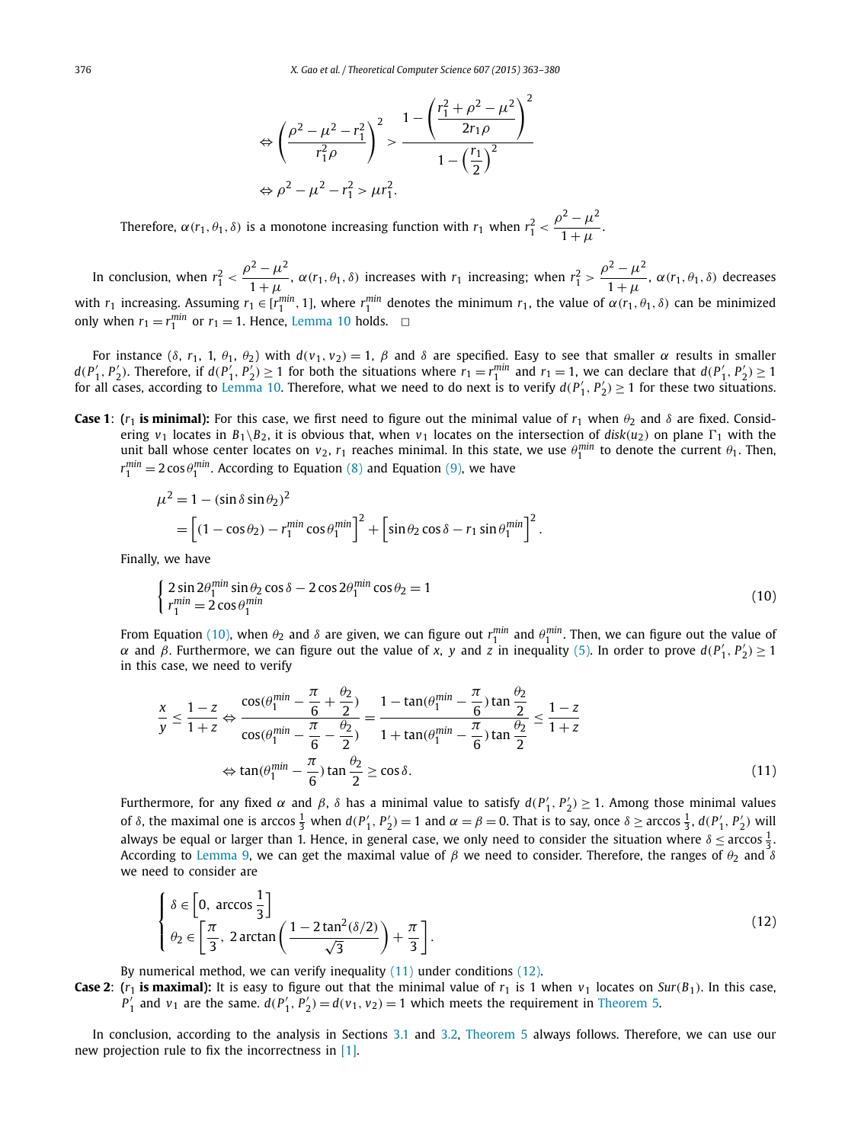$$
\Leftrightarrow \left(\frac{\rho^2 - \mu^2 - r_1^2}{r_1^2 \rho}\right)^2 > \frac{1 - \left(\frac{r_1^2 + \rho^2 - \mu^2}{2r_1 \rho}\right)^2}{1 - \left(\frac{r_1}{2}\right)^2} \Leftrightarrow \rho^2 - \mu^2 - r_1^2 > \mu r_1^2.
$$

Therefore,  $\alpha(r_1, \theta_1, \delta)$  is a monotone increasing function with  $r_1$  when  $r_1^2 < \frac{\rho^2 - \mu^2}{1 + \mu}$ .

In conclusion, when  $r_1^2 < \frac{\rho^2 - \mu^2}{1 + \mu}$ ,  $\alpha(r_1, \theta_1, \delta)$  increases with  $r_1$  increasing; when  $r_1^2 > \frac{\rho^2 - \mu^2}{1 + \mu}$ ,  $\alpha(r_1, \theta_1, \delta)$  decreases with  $r_1$  increasing. Assuming  $r_1 \in [r_1^{min}, 1]$ , where  $r_1^{min}$  denotes the minimum  $r_1$ , the value of  $\alpha(r_1, \theta_1, \delta)$  can be minimized only when  $r_1 = r_1^{min}$  or  $r_1 = 1$ . Hence, [Lemma 10](#page-11-0) holds.  $\Box$ 

For instance  $(\delta, r_1, 1, \theta_1, \theta_2)$  with  $d(v_1, v_2) = 1$ ,  $\beta$  and  $\delta$  are specified. Easy to see that smaller  $\alpha$  results in smaller  $d(P'_1, P'_2)$ . Therefore, if  $d(P'_1, P'_2) \ge 1$  for both the situations where  $r_1 = r_1^{min}$  and  $r_1 = 1$ , we can declare that  $d(P'_1, P'_2) \ge 1$ for all cases, according to [Lemma 10.](#page-11-0) Therefore, what we need to do next is to verify  $d(P'_1, P'_2) \ge 1$  for these two situations.

**Case 1**: ( $r_1$  **is minimal):** For this case, we first need to figure out the minimal value of  $r_1$  when  $\theta_2$  and  $\delta$  are fixed. Considering  $v_1$  locates in  $B_1 \setminus B_2$ , it is obvious that, when  $v_1$  locates on the intersection of  $disk(u_2)$  on plane  $\Gamma_1$  with the unit ball whose center locates on  $v_2$ ,  $r_1$  reaches minimal. In this state, we use  $\theta_1^{min}$  to denote the current  $\theta_1$ . Then,  $r_1^{min} = 2 \cos \theta_1^{min}$ . According to Equation [\(8\)](#page-12-0) and Equation [\(9\),](#page-12-0) we have

$$
\mu^2 = 1 - (\sin \delta \sin \theta_2)^2
$$
  
= 
$$
\left[ (1 - \cos \theta_2) - r_1^{\min} \cos \theta_1^{\min} \right]^2 + \left[ \sin \theta_2 \cos \delta - r_1 \sin \theta_1^{\min} \right]^2.
$$

Finally, we have

$$
\begin{cases}\n2\sin 2\theta_1^{\min} \sin \theta_2 \cos \delta - 2\cos 2\theta_1^{\min} \cos \theta_2 = 1 \\
r_1^{\min} = 2\cos \theta_1^{\min}\n\end{cases}
$$
\n(10)

From Equation (10), when  $\theta_2$  and  $\delta$  are given, we can figure out  $r_1^{min}$  and  $\theta_1^{min}$ . Then, we can figure out the value of *α* and *β*. Furthermore, we can figure out the value of *x*, *y* and *z* in inequality [\(5\).](#page-10-0) In order to prove  $d(P'_1, P'_2) \ge 1$ in this case, we need to verify

$$
\frac{x}{y} \le \frac{1-z}{1+z} \Leftrightarrow \frac{\cos(\theta_1^{\min} - \frac{\pi}{6} + \frac{\theta_2}{2})}{\cos(\theta_1^{\min} - \frac{\pi}{6} - \frac{\theta_2}{2})} = \frac{1 - \tan(\theta_1^{\min} - \frac{\pi}{6})\tan\frac{\theta_2}{2}}{1 + \tan(\theta_1^{\min} - \frac{\pi}{6})\tan\frac{\theta_2}{2}} \le \frac{1-z}{1+z}
$$
  

$$
\Leftrightarrow \tan(\theta_1^{\min} - \frac{\pi}{6})\tan\frac{\theta_2}{2} \ge \cos\delta.
$$
 (11)

Furthermore, for any fixed *α* and *β*, *δ* has a minimal value to satisfy  $d(P'_1, P'_2) \geq 1$ . Among those minimal values of  $\delta$ , the maximal one is arccos  $\frac{1}{3}$  when  $d(P'_1, P'_2) = 1$  and  $\alpha = \beta = 0$ . That is to say, once  $\delta \geq \arccos \frac{1}{3}$ ,  $d(P'_1, P'_2)$  will always be equal or larger than 1. Hence, in general case, we only need to consider the situation where  $\delta \leq$  arccos  $\frac{1}{3}$ . According to [Lemma 9,](#page-11-0) we can get the maximal value of  $\beta$  we need to consider. Therefore, the ranges of  $\theta_2$  and  $\delta$ we need to consider are

$$
\begin{cases} \delta \in \left[0, \arccos\frac{1}{3}\right] \\ \theta_2 \in \left[\frac{\pi}{3}, 2\arctan\left(\frac{1 - 2\tan^2(\delta/2)}{\sqrt{3}}\right) + \frac{\pi}{3}\right]. \end{cases}
$$
\n(12)

By numerical method, we can verify inequality (11) under conditions (12).

**Case 2**: ( $r_1$  **is maximal):** It is easy to figure out that the minimal value of  $r_1$  is 1 when  $v_1$  locates on *Sur*( $B_1$ ). In this case,  $P'_1$  and  $v_1$  are the same.  $d(P'_1, P'_2) = d(v_1, v_2) = 1$  which meets the requirement in [Theorem 5.](#page-7-0)

In conclusion, according to the analysis in Sections [3.1](#page-7-0) and [3.2,](#page-10-0) [Theorem 5](#page-7-0) always follows. Therefore, we can use our new projection rule to fix the incorrectness in [\[1\].](#page-16-0)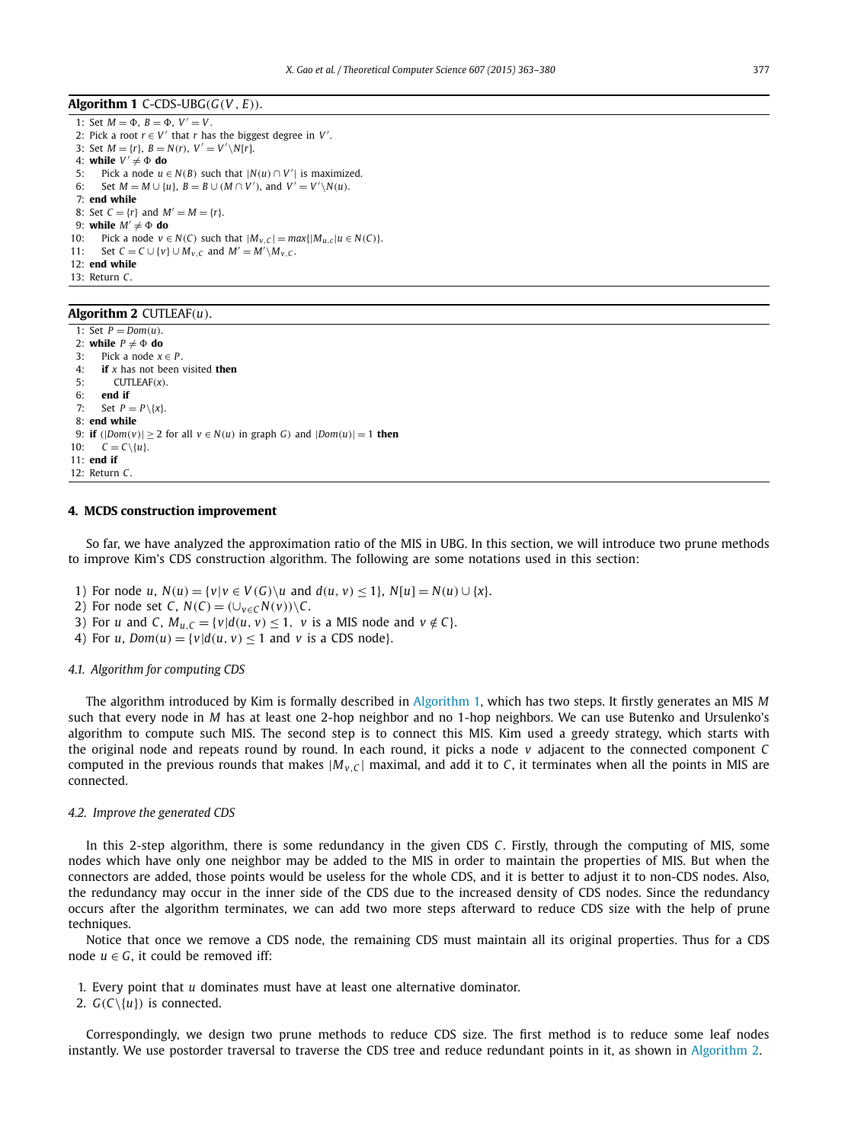<span id="page-14-0"></span>Algorithm 1 C-CDS-UBG $(G(V, E))$ .

1: Set  $M = \Phi$ ,  $B = \Phi$ ,  $V' = V$ . 2: Pick a root  $r \in V'$  that *r* has the biggest degree in  $V'$ . 3: Set  $M = \{r\}$ ,  $B = N(r)$ ,  $V' = V'\setminus N[r]$ . 4: while  $V' \neq \Phi$  do 5: Pick a node  $u \in N(B)$  such that  $|N(u) \cap V'|$  is maximized. 6: Set  $M = M \cup \{u\}$ ,  $B = B \cup (M \cap V')$ , and  $V' = V' \setminus N(u)$ . 7: **end while** 8: Set  $C = \{r\}$  and  $M' = M = \{r\}.$ 9: while  $M' \neq \Phi$  do 10: Pick a node  $v \in N(C)$  such that  $|M_{v,C}| = max\{|M_{u,c}|u \in N(C)\}$ . 11: Set  $C = C \cup \{v\} \cup M_{v,C}$  and  $M' = M' \setminus M_{v,C}$ . 12: **end while** 13: Return *C*.

#### **Algorithm 2** CUTLEAF*(u)*.

1: Set  $P = Dom(u)$ . 2: **while**  $P \neq \Phi$  **do** 3: Pick a node  $x \in P$ . 4: **if** *x* has not been visited **then** 5: CUTLEAF*(x)*. 6: **end if** 7: Set  $P = P \setminus \{x\}.$ 8: **end while** 9: **if**  $(|Dom(v)| \ge 2$  for all  $v \in N(u)$  in graph *G*) and  $|Dom(u)| = 1$  **then** 10:  $C = C \setminus \{u\}.$ 11: **end if** 12: Return *C*.

#### **4. MCDS construction improvement**

So far, we have analyzed the approximation ratio of the MIS in UBG. In this section, we will introduce two prune methods to improve Kim's CDS construction algorithm. The following are some notations used in this section:

- 1) For node u,  $N(u) = \{v | v \in V(G) \setminus u \text{ and } d(u, v) \le 1\}$ ,  $N[u] = N(u) \cup \{x\}$ .
- 2) For node set *C*,  $N(C) = (\bigcup_{v \in C} N(v)) \setminus C$ .
- 3) For *u* and *C*,  $M_{u,C} = \{v | d(u,v) \leq 1, v \text{ is a MIS node and } v \notin C\}.$
- 4) For *u*, *Dom*(*u*) = { $v | d(u, v) \le 1$  and *v* is a CDS node}.

#### *4.1. Algorithm for computing CDS*

The algorithm introduced by Kim is formally described in Algorithm 1, which has two steps. It firstly generates an MIS *M* such that every node in *M* has at least one 2-hop neighbor and no 1-hop neighbors. We can use Butenko and Ursulenko's algorithm to compute such MIS. The second step is to connect this MIS. Kim used a greedy strategy, which starts with the original node and repeats round by round. In each round, it picks a node *v* adjacent to the connected component *C* computed in the previous rounds that makes  $|M_{v,c}|$  maximal, and add it to *C*, it terminates when all the points in MIS are connected.

#### *4.2. Improve the generated CDS*

In this 2-step algorithm, there is some redundancy in the given CDS *C*. Firstly, through the computing of MIS, some nodes which have only one neighbor may be added to the MIS in order to maintain the properties of MIS. But when the connectors are added, those points would be useless for the whole CDS, and it is better to adjust it to non-CDS nodes. Also, the redundancy may occur in the inner side of the CDS due to the increased density of CDS nodes. Since the redundancy occurs after the algorithm terminates, we can add two more steps afterward to reduce CDS size with the help of prune techniques.

Notice that once we remove a CDS node, the remaining CDS must maintain all its original properties. Thus for a CDS node  $u \in G$ , it could be removed iff:

- 1. Every point that *u* dominates must have at least one alternative dominator.
- 2.  $G(C\{u\})$  is connected.

Correspondingly, we design two prune methods to reduce CDS size. The first method is to reduce some leaf nodes instantly. We use postorder traversal to traverse the CDS tree and reduce redundant points in it, as shown in Algorithm 2.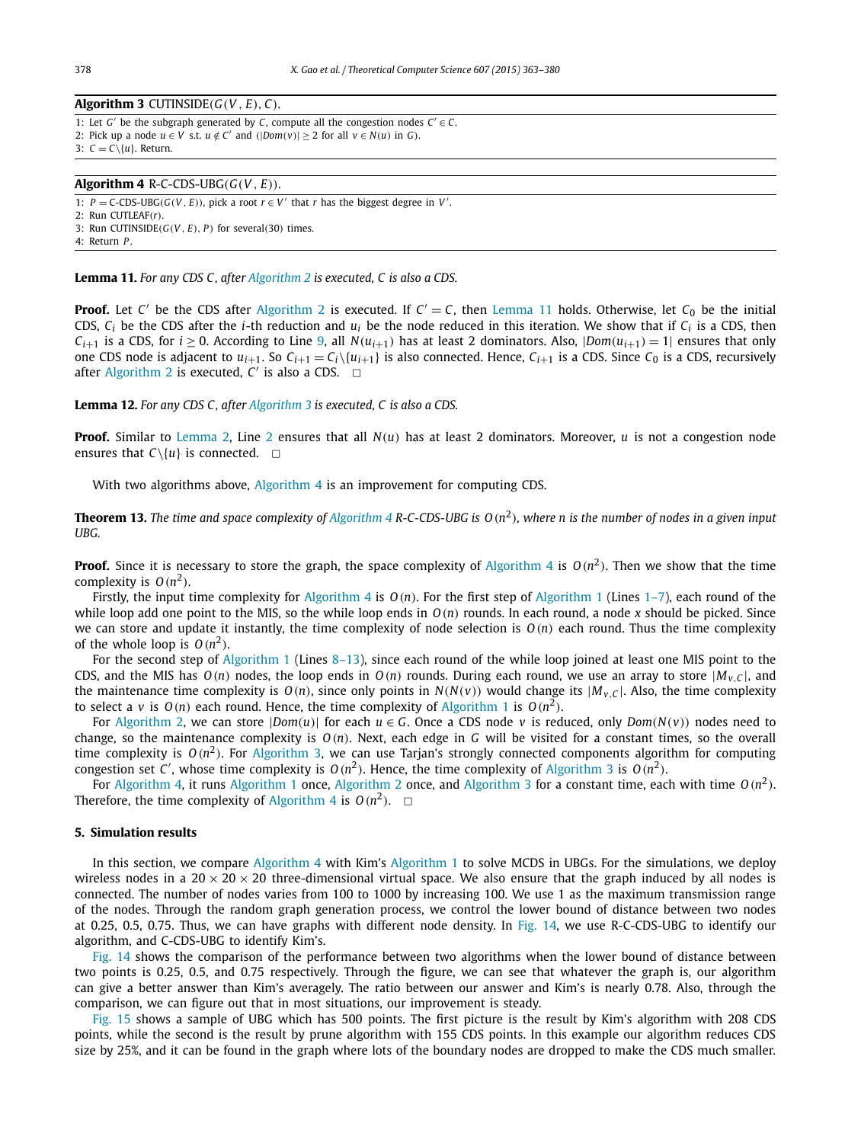### <span id="page-15-0"></span> $\overline{\text{Algorithm 3 } \text{CUTINSIDE}(G(V, E), C)}$ . 1: Let  $G'$  be the subgraph generated by  $C$ , compute all the congestion nodes  $C' \in C$ .

2: Pick up a node  $u \in V$  s.t.  $u \notin C'$  and  $(|Dom(v)| \ge 2$  for all  $v \in N(u)$  in *G*).

3:  $C = C \setminus \{u\}$ . Return.

#### $\overline{Algorithm 4}$  R-C-CDS-UBG $(G(V, E))$ .

1:  $P = C-CDS-UBG(G(V, E))$ , pick a root  $r \in V'$  that *r* has the biggest degree in *V'*.

 $2:$  Run CUTLEAF $(r)$ .

3: Run CUTINSIDE*(G(V , E), P)* for several*(*30*)* times.

4: Return *P* .

**Lemma 11.** *For any CDS C , after [Algorithm 2](#page-14-0) is executed, C is also a CDS.*

**Proof.** Let *C'* be the CDS after [Algorithm 2](#page-14-0) is executed. If  $C' = C$ , then Lemma 11 holds. Otherwise, let  $C_0$  be the initial CDS,  $C_i$  be the CDS after the *i*-th reduction and  $u_i$  be the node reduced in this iteration. We show that if  $C_i$  is a CDS, then *C*<sub>i+1</sub> is a CDS, for *i*  $\geq$  0. According to Line [9,](#page-14-0) all *N*(*u*<sub>*i*+1</sub>)</sub> has at least 2 dominators. Also,  $|Dom(u_{i+1}) = 1|$  ensures that only one CDS node is adjacent to  $u_{i+1}$ . So  $C_{i+1} = C_i \setminus \{u_{i+1}\}\$  is also connected. Hence,  $C_{i+1}$  is a CDS. Since  $C_0$  is a CDS, recursively after [Algorithm 2](#page-14-0) is executed,  $C'$  is also a CDS.  $\Box$ 

#### **Lemma 12.** *For any CDS C , after Algorithm 3 is executed, C is also a CDS.*

**Proof.** Similar to [Lemma 2,](#page-14-0) Line 2 ensures that all *N(u)* has at least 2 dominators. Moreover, *u* is not a congestion node ensures that  $C \setminus \{u\}$  is connected.  $\Box$ 

With two algorithms above, Algorithm 4 is an improvement for computing CDS.

**Theorem 13.** The time and space complexity of Algorithm 4 R-C-CDS-UBG is  $O(n^2)$ , where n is the number of nodes in a given input *UBG.*

**Proof.** Since it is necessary to store the graph, the space complexity of Algorithm 4 is  $O(n^2)$ . Then we show that the time complexity is  $O(n^2)$ .

Firstly, the input time complexity for Algorithm 4 is *O(n)*. For the first step of [Algorithm 1](#page-14-0) (Lines [1–7\)](#page-14-0), each round of the while loop add one point to the MIS, so the while loop ends in *O(n)* rounds. In each round, a node *x* should be picked. Since we can store and update it instantly, the time complexity of node selection is  $O(n)$  each round. Thus the time complexity of the whole loop is  $O(n^2)$ .

For the second step of [Algorithm 1](#page-14-0) (Lines [8–13\)](#page-14-0), since each round of the while loop joined at least one MIS point to the CDS, and the MIS has  $O(n)$  nodes, the loop ends in  $O(n)$  rounds. During each round, we use an array to store  $|M_{V,C}|$ , and the maintenance time complexity is  $O(n)$ , since only points in  $N(N(v))$  would change its  $|M_{v,C}|$ . Also, the time complexity to select a *v* is  $O(n)$  each round. Hence, the time complexity of [Algorithm 1](#page-14-0) is  $O(n^2)$ .

For [Algorithm 2,](#page-14-0) we can store  $|Dom(u)|$  for each  $u \in G$ . Once a CDS node  $v$  is reduced, only  $Dom(N(v))$  nodes need to change, so the maintenance complexity is *O(n)*. Next, each edge in *G* will be visited for a constant times, so the overall time complexity is  $O(n^2)$ . For Algorithm 3, we can use Tarjan's strongly connected components algorithm for computing congestion set *C'*, whose time complexity is  $O(n^2)$ . Hence, the time complexity of Algorithm 3 is  $O(n^2)$ .

For Algorithm 4, it runs [Algorithm 1](#page-14-0) once, [Algorithm 2](#page-14-0) once, and Algorithm 3 for a constant time, each with time *O(n*<sup>2</sup>*)*. Therefore, the time complexity of Algorithm 4 is  $O(n^2)$ .  $\Box$ 

#### **5. Simulation results**

In this section, we compare Algorithm 4 with Kim's [Algorithm 1](#page-14-0) to solve MCDS in UBGs. For the simulations, we deploy wireless nodes in a 20  $\times$  20  $\times$  20 three-dimensional virtual space. We also ensure that the graph induced by all nodes is connected. The number of nodes varies from 100 to 1000 by increasing 100. We use 1 as the maximum transmission range of the nodes. Through the random graph generation process, we control the lower bound of distance between two nodes at 0.25, 0.5, 0.75. Thus, we can have graphs with different node density. In [Fig. 14,](#page-16-0) we use R-C-CDS-UBG to identify our algorithm, and C-CDS-UBG to identify Kim's.

[Fig. 14](#page-16-0) shows the comparison of the performance between two algorithms when the lower bound of distance between two points is 0.25, 0.5, and 0.75 respectively. Through the figure, we can see that whatever the graph is, our algorithm can give a better answer than Kim's averagely. The ratio between our answer and Kim's is nearly 0.78. Also, through the comparison, we can figure out that in most situations, our improvement is steady.

[Fig. 15](#page-16-0) shows a sample of UBG which has 500 points. The first picture is the result by Kim's algorithm with 208 CDS points, while the second is the result by prune algorithm with 155 CDS points. In this example our algorithm reduces CDS size by 25%, and it can be found in the graph where lots of the boundary nodes are dropped to make the CDS much smaller.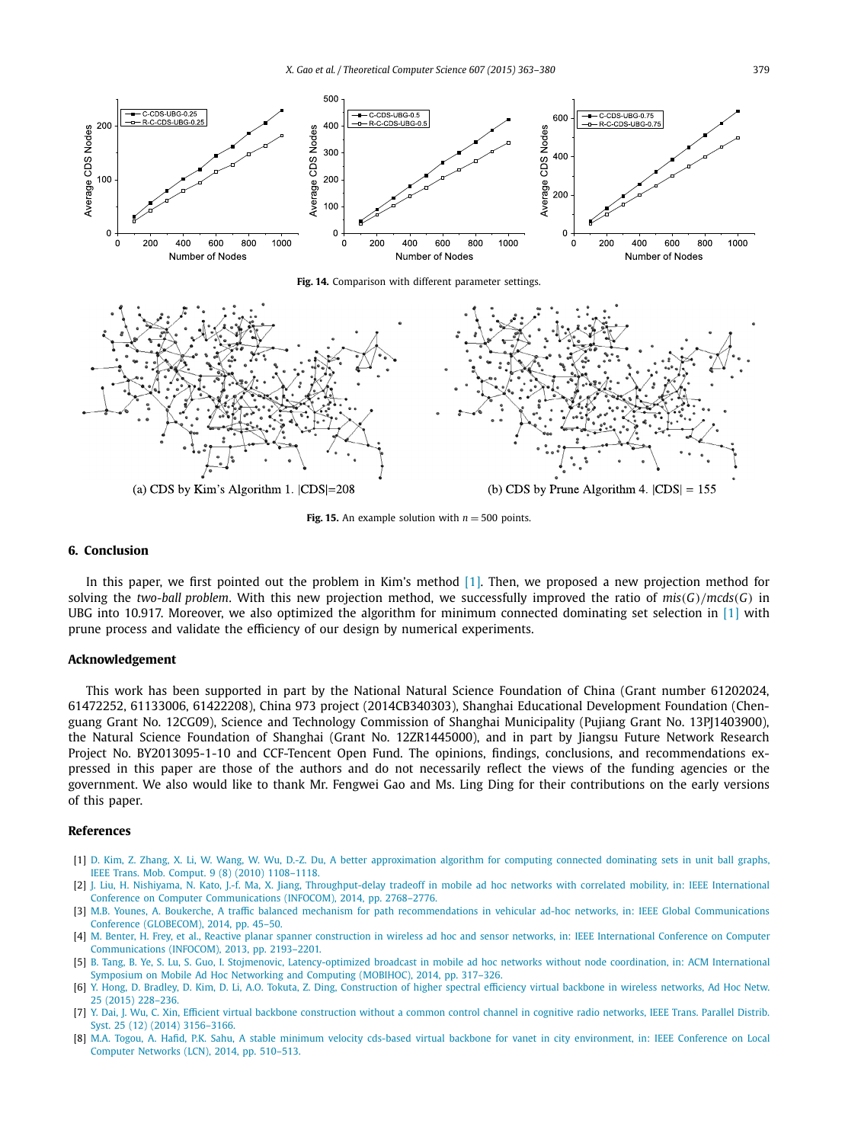<span id="page-16-0"></span>

(a) CDS by Kim's Algorithm 1.  $|CDS|=208$ 

**Fig. 15.** An example solution with  $n = 500$  points.

#### **6. Conclusion**

In this paper, we first pointed out the problem in Kim's method [1]. Then, we proposed a new projection method for solving the *two-ball problem*. With this new projection method, we successfully improved the ratio of *mis(G)/mcds(G)* in UBG into 10.917. Moreover, we also optimized the algorithm for minimum connected dominating set selection in [1] with prune process and validate the efficiency of our design by numerical experiments.

#### **Acknowledgement**

This work has been supported in part by the National Natural Science Foundation of China (Grant number 61202024, 61472252, 61133006, 61422208), China 973 project (2014CB340303), Shanghai Educational Development Foundation (Chenguang Grant No. 12CG09), Science and Technology Commission of Shanghai Municipality (Pujiang Grant No. 13PJ1403900), the Natural Science Foundation of Shanghai (Grant No. 12ZR1445000), and in part by Jiangsu Future Network Research Project No. BY2013095-1-10 and CCF-Tencent Open Fund. The opinions, findings, conclusions, and recommendations expressed in this paper are those of the authors and do not necessarily reflect the views of the funding agencies or the government. We also would like to thank Mr. Fengwei Gao and Ms. Ling Ding for their contributions on the early versions of this paper.

#### **References**

- [1] D. Kim, Z. Zhang, X. Li, W. Wang, W. Wu, D.-Z. Du, A better [approximation](http://refhub.elsevier.com/S0304-3975(15)00719-7/bib4B696Ds1) algorithm for computing connected dominating sets in unit ball graphs, IEEE Trans. Mob. Comput. 9 (8) (2010) [1108–1118.](http://refhub.elsevier.com/S0304-3975(15)00719-7/bib4B696Ds1)
- [2] J. Liu, H. Nishiyama, N. Kato, J.-f. Ma, X. Jiang, [Throughput-delay](http://refhub.elsevier.com/S0304-3975(15)00719-7/bib6C6975323031347468726F756768707574s1) tradeoff in mobile ad hoc networks with correlated mobility, in: IEEE International Conference on Computer [Communications](http://refhub.elsevier.com/S0304-3975(15)00719-7/bib6C6975323031347468726F756768707574s1) (INFOCOM), 2014, pp. 2768–2776.
- [3] M.B. Younes, A. Boukerche, A traffic balanced mechanism for path [recommendations](http://refhub.elsevier.com/S0304-3975(15)00719-7/bib796F756E65733230313474726166666963s1) in vehicular ad-hoc networks, in: IEEE Global Communications Conference [\(GLOBECOM\),](http://refhub.elsevier.com/S0304-3975(15)00719-7/bib796F756E65733230313474726166666963s1) 2014, pp. 45–50.
- [4] M. Benter, H. Frey, et al., Reactive planar spanner construction in wireless ad hoc and sensor networks, in: IEEE [International](http://refhub.elsevier.com/S0304-3975(15)00719-7/bib62656E746572323031337265616374697665s1) Conference on Computer [Communications](http://refhub.elsevier.com/S0304-3975(15)00719-7/bib62656E746572323031337265616374697665s1) (INFOCOM), 2013, pp. 2193–2201.
- [5] B. Tang, B. Ye, S. Lu, S. Guo, I. Stojmenovic, [Latency-optimized](http://refhub.elsevier.com/S0304-3975(15)00719-7/bib74616E67323031346C6174656E6379s1) broadcast in mobile ad hoc networks without node coordination, in: ACM International Symposium on Mobile Ad Hoc Networking and Computing (MOBIHOC), 2014, [pp. 317–326.](http://refhub.elsevier.com/S0304-3975(15)00719-7/bib74616E67323031346C6174656E6379s1)
- [6] Y. Hong, D. Bradley, D. Kim, D. Li, A.O. Tokuta, Z. Ding, [Construction](http://refhub.elsevier.com/S0304-3975(15)00719-7/bib686F6E6732303135636F6E737472756374696F6Es1) of higher spectral efficiency virtual backbone in wireless networks, Ad Hoc Netw. 25 (2015) [228–236.](http://refhub.elsevier.com/S0304-3975(15)00719-7/bib686F6E6732303135636F6E737472756374696F6Es1)
- [7] Y. Dai, J. Wu, C. Xin, Efficient virtual backbone [construction](http://refhub.elsevier.com/S0304-3975(15)00719-7/bib64616932303134656666696369656E74s1) without a common control channel in cognitive radio networks, IEEE Trans. Parallel Distrib. Syst. 25 (12) (2014) [3156–3166.](http://refhub.elsevier.com/S0304-3975(15)00719-7/bib64616932303134656666696369656E74s1)
- [8] M.A. Togou, A. Hafid, P.K. Sahu, A stable minimum velocity cds-based virtual backbone for vanet in city [environment,](http://refhub.elsevier.com/S0304-3975(15)00719-7/bib746F676F7532303134737461626C65s1) in: IEEE Conference on Local Computer Networks (LCN), 2014, [pp. 510–513.](http://refhub.elsevier.com/S0304-3975(15)00719-7/bib746F676F7532303134737461626C65s1)